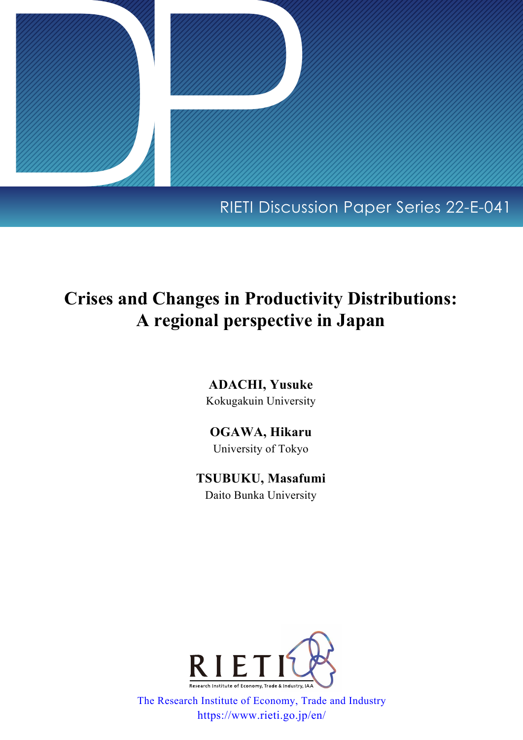

# RIETI Discussion Paper Series 22-E-041

# **Crises and Changes in Productivity Distributions: A regional perspective in Japan**

**ADACHI, Yusuke** Kokugakuin University

**OGAWA, Hikaru** University of Tokyo

**TSUBUKU, Masafumi** Daito Bunka University



The Research Institute of Economy, Trade and Industry https://www.rieti.go.jp/en/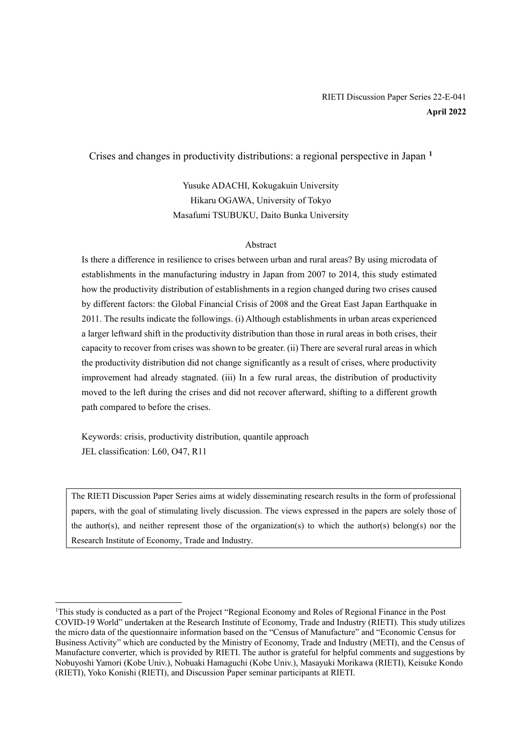## RIETI Discussion Paper Series 22-E-041 **April 2022**

### Crises and changes in productivity distributions: a regional perspective in Japan **[1](#page-1-0)**

Yusuke ADACHI, Kokugakuin University Hikaru OGAWA, University of Tokyo Masafumi TSUBUKU, Daito Bunka University

### Abstract

Is there a difference in resilience to crises between urban and rural areas? By using microdata of establishments in the manufacturing industry in Japan from 2007 to 2014, this study estimated how the productivity distribution of establishments in a region changed during two crises caused by different factors: the Global Financial Crisis of 2008 and the Great East Japan Earthquake in 2011. The results indicate the followings. (i) Although establishments in urban areas experienced a larger leftward shift in the productivity distribution than those in rural areas in both crises, their capacity to recover from crises was shown to be greater. (ii) There are several rural areas in which the productivity distribution did not change significantly as a result of crises, where productivity improvement had already stagnated. (iii) In a few rural areas, the distribution of productivity moved to the left during the crises and did not recover afterward, shifting to a different growth path compared to before the crises.

Keywords: crisis, productivity distribution, quantile approach JEL classification: L60, O47, R11

The RIETI Discussion Paper Series aims at widely disseminating research results in the form of professional papers, with the goal of stimulating lively discussion. The views expressed in the papers are solely those of the author(s), and neither represent those of the organization(s) to which the author(s) belong(s) nor the Research Institute of Economy, Trade and Industry.

<span id="page-1-0"></span><sup>&</sup>lt;sup>1</sup>This study is conducted as a part of the Project "Regional Economy and Roles of Regional Finance in the Post COVID-19 World" undertaken at the Research Institute of Economy, Trade and Industry (RIETI). This study utilizes the micro data of the questionnaire information based on the "Census of Manufacture" and "Economic Census for Business Activity" which are conducted by the Ministry of Economy, Trade and Industry (METI), and the Census of Manufacture converter, which is provided by RIETI. The author is grateful for helpful comments and suggestions by Nobuyoshi Yamori (Kobe Univ.), Nobuaki Hamaguchi (Kobe Univ.), Masayuki Morikawa (RIETI), Keisuke Kondo (RIETI), Yoko Konishi (RIETI), and Discussion Paper seminar participants at RIETI.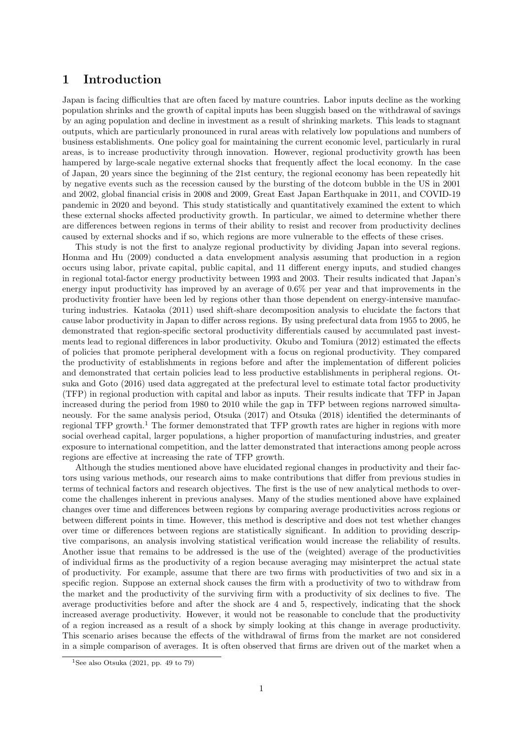## **1 Introduction**

Japan is facing difficulties that are often faced by mature countries. Labor inputs decline as the working population shrinks and the growth of capital inputs has been sluggish based on the withdrawal of savings by an aging population and decline in investment as a result of shrinking markets. This leads to stagnant outputs, which are particularly pronounced in rural areas with relatively low populations and numbers of business establishments. One policy goal for maintaining the current economic level, particularly in rural areas, is to increase productivity through innovation. However, regional productivity growth has been hampered by large-scale negative external shocks that frequently affect the local economy. In the case of Japan, 20 years since the beginning of the 21st century, the regional economy has been repeatedly hit by negative events such as the recession caused by the bursting of the dotcom bubble in the US in 2001 and 2002, global financial crisis in 2008 and 2009, Great East Japan Earthquake in 2011, and COVID-19 pandemic in 2020 and beyond. This study statistically and quantitatively examined the extent to which these external shocks affected productivity growth. In particular, we aimed to determine whether there are differences between regions in terms of their ability to resist and recover from productivity declines caused by external shocks and if so, which regions are more vulnerable to the effects of these crises.

This study is not the first to analyze regional productivity by dividing Japan into several regions. Honma and Hu (2009) conducted a data envelopment analysis assuming that production in a region occurs using labor, private capital, public capital, and 11 different energy inputs, and studied changes in regional total-factor energy productivity between 1993 and 2003. Their results indicated that Japan's energy input productivity has improved by an average of 0.6% per year and that improvements in the productivity frontier have been led by regions other than those dependent on energy-intensive manufacturing industries. Kataoka (2011) used shift-share decomposition analysis to elucidate the factors that cause labor productivity in Japan to differ across regions. By using prefectural data from 1955 to 2005, he demonstrated that region-specific sectoral productivity differentials caused by accumulated past investments lead to regional differences in labor productivity. Okubo and Tomiura (2012) estimated the effects of policies that promote peripheral development with a focus on regional productivity. They compared the productivity of establishments in regions before and after the implementation of different policies and demonstrated that certain policies lead to less productive establishments in peripheral regions. Otsuka and Goto (2016) used data aggregated at the prefectural level to estimate total factor productivity (TFP) in regional production with capital and labor as inputs. Their results indicate that TFP in Japan increased during the period from 1980 to 2010 while the gap in TFP between regions narrowed simultaneously. For the same analysis period, Otsuka (2017) and Otsuka (2018) identified the determinants of regional TFP growth.<sup>1</sup> The former demonstrated that TFP growth rates are higher in regions with more social overhead capital, larger populations, a higher proportion of manufacturing industries, and greater exposure to international competition, and the latter demonstrated that interactions among people across regions are effective at increasing the rate of TFP growth.

Although the studies mentioned above have elucidated regional changes in productivity and their factors using various methods, our research aims to make contributions that differ from previous studies in terms of technical factors and research objectives. The first is the use of new analytical methods to overcome the challenges inherent in previous analyses. Many of the studies mentioned above have explained changes over time and differences between regions by comparing average productivities across regions or between different points in time. However, this method is descriptive and does not test whether changes over time or differences between regions are statistically significant. In addition to providing descriptive comparisons, an analysis involving statistical verification would increase the reliability of results. Another issue that remains to be addressed is the use of the (weighted) average of the productivities of individual firms as the productivity of a region because averaging may misinterpret the actual state of productivity. For example, assume that there are two firms with productivities of two and six in a specific region. Suppose an external shock causes the firm with a productivity of two to withdraw from the market and the productivity of the surviving firm with a productivity of six declines to five. The average productivities before and after the shock are 4 and 5, respectively, indicating that the shock increased average productivity. However, it would not be reasonable to conclude that the productivity of a region increased as a result of a shock by simply looking at this change in average productivity. This scenario arises because the effects of the withdrawal of firms from the market are not considered in a simple comparison of averages. It is often observed that firms are driven out of the market when a

<sup>&</sup>lt;sup>1</sup>See also Otsuka  $(2021, pp. 49$  to 79)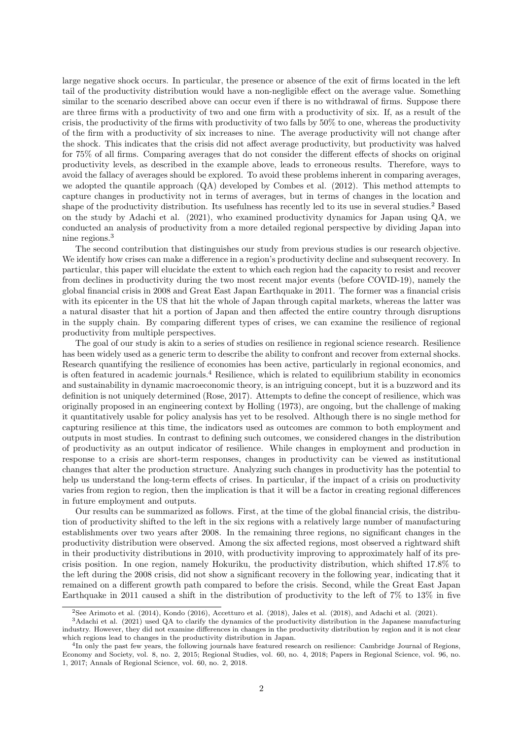large negative shock occurs. In particular, the presence or absence of the exit of firms located in the left tail of the productivity distribution would have a non-negligible effect on the average value. Something similar to the scenario described above can occur even if there is no withdrawal of firms. Suppose there are three firms with a productivity of two and one firm with a productivity of six. If, as a result of the crisis, the productivity of the firms with productivity of two falls by 50% to one, whereas the productivity of the firm with a productivity of six increases to nine. The average productivity will not change after the shock. This indicates that the crisis did not affect average productivity, but productivity was halved for 75% of all firms. Comparing averages that do not consider the different effects of shocks on original productivity levels, as described in the example above, leads to erroneous results. Therefore, ways to avoid the fallacy of averages should be explored. To avoid these problems inherent in comparing averages, we adopted the quantile approach (QA) developed by Combes et al. (2012). This method attempts to capture changes in productivity not in terms of averages, but in terms of changes in the location and shape of the productivity distribution. Its usefulness has recently led to its use in several studies.<sup>2</sup> Based on the study by Adachi et al. (2021), who examined productivity dynamics for Japan using QA, we conducted an analysis of productivity from a more detailed regional perspective by dividing Japan into nine regions.<sup>3</sup>

The second contribution that distinguishes our study from previous studies is our research objective. We identify how crises can make a difference in a region's productivity decline and subsequent recovery. In particular, this paper will elucidate the extent to which each region had the capacity to resist and recover from declines in productivity during the two most recent major events (before COVID-19), namely the global financial crisis in 2008 and Great East Japan Earthquake in 2011. The former was a financial crisis with its epicenter in the US that hit the whole of Japan through capital markets, whereas the latter was a natural disaster that hit a portion of Japan and then affected the entire country through disruptions in the supply chain. By comparing different types of crises, we can examine the resilience of regional productivity from multiple perspectives.

The goal of our study is akin to a series of studies on resilience in regional science research. Resilience has been widely used as a generic term to describe the ability to confront and recover from external shocks. Research quantifying the resilience of economies has been active, particularly in regional economics, and is often featured in academic journals.<sup>4</sup> Resilience, which is related to equilibrium stability in economics and sustainability in dynamic macroeconomic theory, is an intriguing concept, but it is a buzzword and its definition is not uniquely determined (Rose, 2017). Attempts to define the concept of resilience, which was originally proposed in an engineering context by Holling (1973), are ongoing, but the challenge of making it quantitatively usable for policy analysis has yet to be resolved. Although there is no single method for capturing resilience at this time, the indicators used as outcomes are common to both employment and outputs in most studies. In contrast to defining such outcomes, we considered changes in the distribution of productivity as an output indicator of resilience. While changes in employment and production in response to a crisis are short-term responses, changes in productivity can be viewed as institutional changes that alter the production structure. Analyzing such changes in productivity has the potential to help us understand the long-term effects of crises. In particular, if the impact of a crisis on productivity varies from region to region, then the implication is that it will be a factor in creating regional differences in future employment and outputs.

Our results can be summarized as follows. First, at the time of the global financial crisis, the distribution of productivity shifted to the left in the six regions with a relatively large number of manufacturing establishments over two years after 2008. In the remaining three regions, no significant changes in the productivity distribution were observed. Among the six affected regions, most observed a rightward shift in their productivity distributions in 2010, with productivity improving to approximately half of its precrisis position. In one region, namely Hokuriku, the productivity distribution, which shifted 17.8% to the left during the 2008 crisis, did not show a significant recovery in the following year, indicating that it remained on a different growth path compared to before the crisis. Second, while the Great East Japan Earthquake in 2011 caused a shift in the distribution of productivity to the left of 7% to 13% in five

<sup>2</sup>See Arimoto et al. (2014), Kondo (2016), Accetturo et al. (2018), Jales et al. (2018), and Adachi et al. (2021).

<sup>3</sup>Adachi et al. (2021) used QA to clarify the dynamics of the productivity distribution in the Japanese manufacturing industry. However, they did not examine differences in changes in the productivity distribution by region and it is not clear which regions lead to changes in the productivity distribution in Japan.

<sup>&</sup>lt;sup>4</sup>In only the past few years, the following journals have featured research on resilience: Cambridge Journal of Regions, Economy and Society, vol. 8, no. 2, 2015; Regional Studies, vol. 60, no. 4, 2018; Papers in Regional Science, vol. 96, no. 1, 2017; Annals of Regional Science, vol. 60, no. 2, 2018.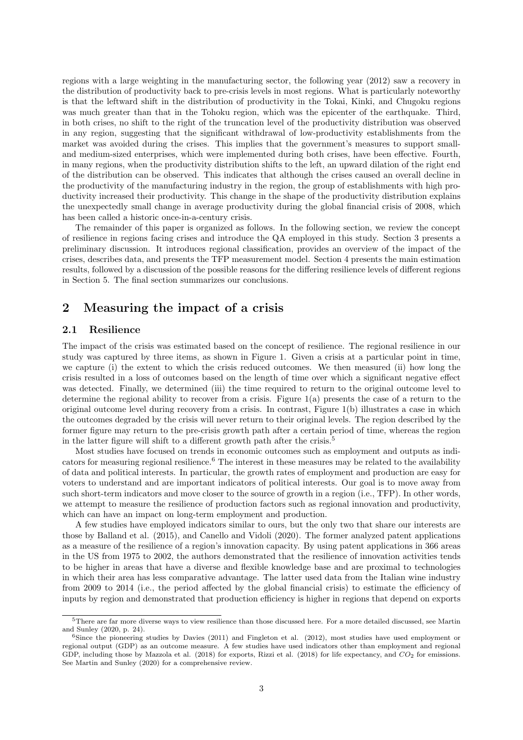regions with a large weighting in the manufacturing sector, the following year (2012) saw a recovery in the distribution of productivity back to pre-crisis levels in most regions. What is particularly noteworthy is that the leftward shift in the distribution of productivity in the Tokai, Kinki, and Chugoku regions was much greater than that in the Tohoku region, which was the epicenter of the earthquake. Third, in both crises, no shift to the right of the truncation level of the productivity distribution was observed in any region, suggesting that the significant withdrawal of low-productivity establishments from the market was avoided during the crises. This implies that the government's measures to support smalland medium-sized enterprises, which were implemented during both crises, have been effective. Fourth, in many regions, when the productivity distribution shifts to the left, an upward dilation of the right end of the distribution can be observed. This indicates that although the crises caused an overall decline in the productivity of the manufacturing industry in the region, the group of establishments with high productivity increased their productivity. This change in the shape of the productivity distribution explains the unexpectedly small change in average productivity during the global financial crisis of 2008, which has been called a historic once-in-a-century crisis.

The remainder of this paper is organized as follows. In the following section, we review the concept of resilience in regions facing crises and introduce the QA employed in this study. Section 3 presents a preliminary discussion. It introduces regional classification, provides an overview of the impact of the crises, describes data, and presents the TFP measurement model. Section 4 presents the main estimation results, followed by a discussion of the possible reasons for the differing resilience levels of different regions in Section 5. The final section summarizes our conclusions.

## **2 Measuring the impact of a crisis**

#### **2.1 Resilience**

The impact of the crisis was estimated based on the concept of resilience. The regional resilience in our study was captured by three items, as shown in Figure 1. Given a crisis at a particular point in time, we capture (i) the extent to which the crisis reduced outcomes. We then measured (ii) how long the crisis resulted in a loss of outcomes based on the length of time over which a significant negative effect was detected. Finally, we determined (iii) the time required to return to the original outcome level to determine the regional ability to recover from a crisis. Figure  $1(a)$  presents the case of a return to the original outcome level during recovery from a crisis. In contrast, Figure 1(b) illustrates a case in which the outcomes degraded by the crisis will never return to their original levels. The region described by the former figure may return to the pre-crisis growth path after a certain period of time, whereas the region in the latter figure will shift to a different growth path after the crisis.<sup>5</sup>

Most studies have focused on trends in economic outcomes such as employment and outputs as indicators for measuring regional resilience.<sup>6</sup> The interest in these measures may be related to the availability of data and political interests. In particular, the growth rates of employment and production are easy for voters to understand and are important indicators of political interests. Our goal is to move away from such short-term indicators and move closer to the source of growth in a region (i.e., TFP). In other words, we attempt to measure the resilience of production factors such as regional innovation and productivity, which can have an impact on long-term employment and production.

A few studies have employed indicators similar to ours, but the only two that share our interests are those by Balland et al. (2015), and Canello and Vidoli (2020). The former analyzed patent applications as a measure of the resilience of a region's innovation capacity. By using patent applications in 366 areas in the US from 1975 to 2002, the authors demonstrated that the resilience of innovation activities tends to be higher in areas that have a diverse and flexible knowledge base and are proximal to technologies in which their area has less comparative advantage. The latter used data from the Italian wine industry from 2009 to 2014 (i.e., the period affected by the global financial crisis) to estimate the efficiency of inputs by region and demonstrated that production efficiency is higher in regions that depend on exports

<sup>5</sup>There are far more diverse ways to view resilience than those discussed here. For a more detailed discussed, see Martin and Sunley (2020, p. 24).

 $6$ Since the pioneering studies by Davies (2011) and Fingleton et al. (2012), most studies have used employment or regional output (GDP) as an outcome measure. A few studies have used indicators other than employment and regional GDP, including those by Mazzola et al. (2018) for exports, Rizzi et al. (2018) for life expectancy, and *CO*<sup>2</sup> for emissions. See Martin and Sunley (2020) for a comprehensive review.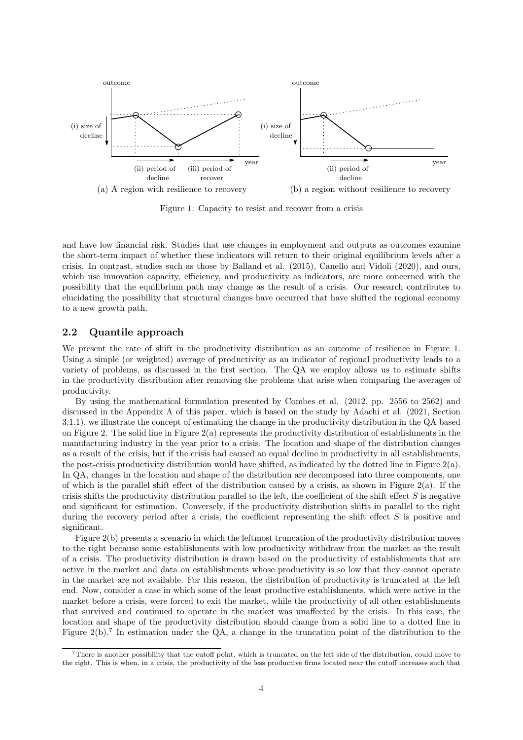

Figure 1: Capacity to resist and recover from a crisis

and have low financial risk. Studies that use changes in employment and outputs as outcomes examine the short-term impact of whether these indicators will return to their original equilibrium levels after a crisis. In contrast, studies such as those by Balland et al. (2015), Canello and Vidoli (2020), and ours, which use innovation capacity, efficiency, and productivity as indicators, are more concerned with the possibility that the equilibrium path may change as the result of a crisis. Our research contributes to elucidating the possibility that structural changes have occurred that have shifted the regional economy to a new growth path.

#### **2.2 Quantile approach**

We present the rate of shift in the productivity distribution as an outcome of resilience in Figure 1. Using a simple (or weighted) average of productivity as an indicator of regional productivity leads to a variety of problems, as discussed in the first section. The QA we employ allows us to estimate shifts in the productivity distribution after removing the problems that arise when comparing the averages of productivity.

By using the mathematical formulation presented by Combes et al. (2012, pp. 2556 to 2562) and discussed in the Appendix A of this paper, which is based on the study by Adachi et al. (2021, Section 3.1.1), we illustrate the concept of estimating the change in the productivity distribution in the QA based on Figure 2. The solid line in Figure  $2(a)$  represents the productivity distribution of establishments in the manufacturing industry in the year prior to a crisis. The location and shape of the distribution changes as a result of the crisis, but if the crisis had caused an equal decline in productivity in all establishments, the post-crisis productivity distribution would have shifted, as indicated by the dotted line in Figure  $2(a)$ . In QA, changes in the location and shape of the distribution are decomposed into three components, one of which is the parallel shift effect of the distribution caused by a crisis, as shown in Figure 2(a). If the crisis shifts the productivity distribution parallel to the left, the coefficient of the shift effect *S* is negative and significant for estimation. Conversely, if the productivity distribution shifts in parallel to the right during the recovery period after a crisis, the coefficient representing the shift effect *S* is positive and significant.

Figure 2(b) presents a scenario in which the leftmost truncation of the productivity distribution moves to the right because some establishments with low productivity withdraw from the market as the result of a crisis. The productivity distribution is drawn based on the productivity of establishments that are active in the market and data on establishments whose productivity is so low that they cannot operate in the market are not available. For this reason, the distribution of productivity is truncated at the left end. Now, consider a case in which some of the least productive establishments, which were active in the market before a crisis, were forced to exit the market, while the productivity of all other establishments that survived and continued to operate in the market was unaffected by the crisis. In this case, the location and shape of the productivity distribution should change from a solid line to a dotted line in Figure  $2(b)$ .<sup>7</sup> In estimation under the QA, a change in the truncation point of the distribution to the

<sup>7</sup>There is another possibility that the cutoff point, which is truncated on the left side of the distribution, could move to the right. This is when, in a crisis, the productivity of the less productive firms located near the cutoff increases such that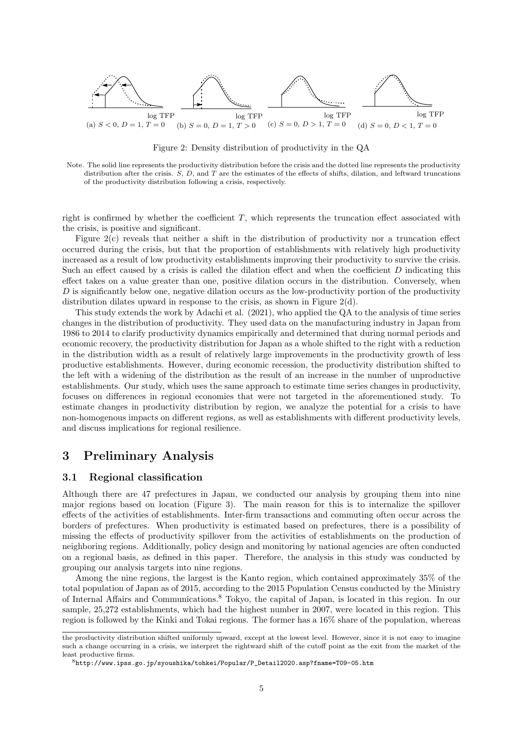

Figure 2: Density distribution of productivity in the QA

Note. The solid line represents the productivity distribution before the crisis and the dotted line represents the productivity distribution after the crisis. *S*, *D*, and *T* are the estimates of the effects of shifts, dilation, and leftward truncations of the productivity distribution following a crisis, respectively.

right is confirmed by whether the coefficient *T*, which represents the truncation effect associated with the crisis, is positive and significant.

Figure 2(c) reveals that neither a shift in the distribution of productivity nor a truncation effect occurred during the crisis, but that the proportion of establishments with relatively high productivity increased as a result of low productivity establishments improving their productivity to survive the crisis. Such an effect caused by a crisis is called the dilation effect and when the coefficient *D* indicating this effect takes on a value greater than one, positive dilation occurs in the distribution. Conversely, when *D* is significantly below one, negative dilation occurs as the low-productivity portion of the productivity distribution dilates upward in response to the crisis, as shown in Figure 2(d).

This study extends the work by Adachi et al. (2021), who applied the QA to the analysis of time series changes in the distribution of productivity. They used data on the manufacturing industry in Japan from 1986 to 2014 to clarify productivity dynamics empirically and determined that during normal periods and economic recovery, the productivity distribution for Japan as a whole shifted to the right with a reduction in the distribution width as a result of relatively large improvements in the productivity growth of less productive establishments. However, during economic recession, the productivity distribution shifted to the left with a widening of the distribution as the result of an increase in the number of unproductive establishments. Our study, which uses the same approach to estimate time series changes in productivity, focuses on differences in regional economies that were not targeted in the aforementioned study. To estimate changes in productivity distribution by region, we analyze the potential for a crisis to have non-homogenous impacts on different regions, as well as establishments with different productivity levels, and discuss implications for regional resilience.

## **3 Preliminary Analysis**

#### **3.1 Regional classification**

Although there are 47 prefectures in Japan, we conducted our analysis by grouping them into nine major regions based on location (Figure 3). The main reason for this is to internalize the spillover effects of the activities of establishments. Inter-firm transactions and commuting often occur across the borders of prefectures. When productivity is estimated based on prefectures, there is a possibility of missing the effects of productivity spillover from the activities of establishments on the production of neighboring regions. Additionally, policy design and monitoring by national agencies are often conducted on a regional basis, as defined in this paper. Therefore, the analysis in this study was conducted by grouping our analysis targets into nine regions.

Among the nine regions, the largest is the Kanto region, which contained approximately 35% of the total population of Japan as of 2015, according to the 2015 Population Census conducted by the Ministry of Internal Affairs and Communications.<sup>8</sup> Tokyo, the capital of Japan, is located in this region. In our sample, 25,272 establishments, which had the highest number in 2007, were located in this region. This region is followed by the Kinki and Tokai regions. The former has a 16% share of the population, whereas

the productivity distribution shifted uniformly upward, except at the lowest level. However, since it is not easy to imagine such a change occurring in a crisis, we interpret the rightward shift of the cutoff point as the exit from the market of the least productive firms.

<sup>8</sup>http://www.ipss.go.jp/syoushika/tohkei/Popular/P\_Detail2020.asp?fname=T09-05.htm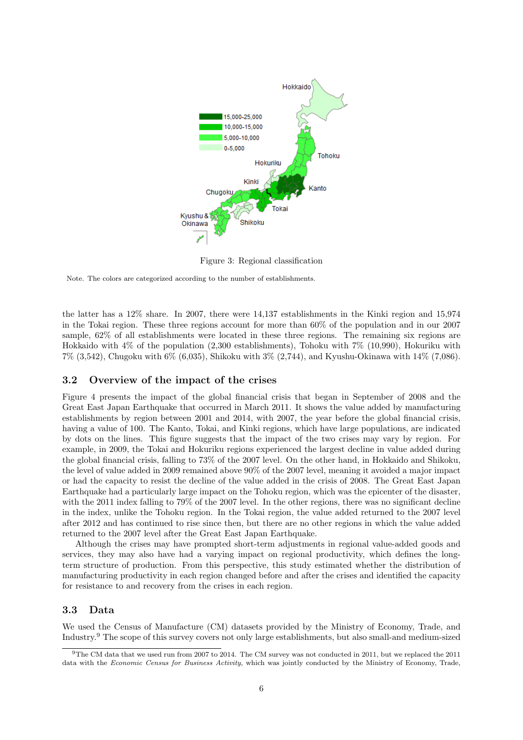

Figure 3: Regional classification

Note. The colors are categorized according to the number of establishments.

the latter has a 12% share. In 2007, there were 14,137 establishments in the Kinki region and 15,974 in the Tokai region. These three regions account for more than 60% of the population and in our 2007 sample, 62% of all establishments were located in these three regions. The remaining six regions are Hokkaido with 4% of the population (2,300 establishments), Tohoku with 7% (10,990), Hokuriku with 7% (3,542), Chugoku with 6% (6,035), Shikoku with 3% (2,744), and Kyushu-Okinawa with 14% (7,086).

#### **3.2 Overview of the impact of the crises**

Figure 4 presents the impact of the global financial crisis that began in September of 2008 and the Great East Japan Earthquake that occurred in March 2011. It shows the value added by manufacturing establishments by region between 2001 and 2014, with 2007, the year before the global financial crisis, having a value of 100. The Kanto, Tokai, and Kinki regions, which have large populations, are indicated by dots on the lines. This figure suggests that the impact of the two crises may vary by region. For example, in 2009, the Tokai and Hokuriku regions experienced the largest decline in value added during the global financial crisis, falling to 73% of the 2007 level. On the other hand, in Hokkaido and Shikoku, the level of value added in 2009 remained above 90% of the 2007 level, meaning it avoided a major impact or had the capacity to resist the decline of the value added in the crisis of 2008. The Great East Japan Earthquake had a particularly large impact on the Tohoku region, which was the epicenter of the disaster, with the 2011 index falling to 79% of the 2007 level. In the other regions, there was no significant decline in the index, unlike the Tohoku region. In the Tokai region, the value added returned to the 2007 level after 2012 and has continued to rise since then, but there are no other regions in which the value added returned to the 2007 level after the Great East Japan Earthquake.

Although the crises may have prompted short-term adjustments in regional value-added goods and services, they may also have had a varying impact on regional productivity, which defines the longterm structure of production. From this perspective, this study estimated whether the distribution of manufacturing productivity in each region changed before and after the crises and identified the capacity for resistance to and recovery from the crises in each region.

#### **3.3 Data**

We used the Census of Manufacture (CM) datasets provided by the Ministry of Economy, Trade, and Industry.<sup>9</sup> The scope of this survey covers not only large establishments, but also small-and medium-sized

<sup>9</sup>The CM data that we used run from 2007 to 2014. The CM survey was not conducted in 2011, but we replaced the 2011 data with the *Economic Census for Business Activity*, which was jointly conducted by the Ministry of Economy, Trade,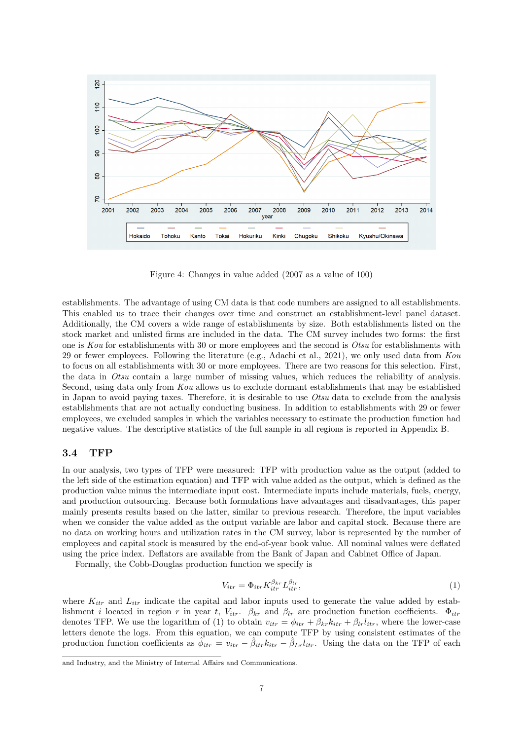

Figure 4: Changes in value added (2007 as a value of 100)

establishments. The advantage of using CM data is that code numbers are assigned to all establishments. This enabled us to trace their changes over time and construct an establishment-level panel dataset. Additionally, the CM covers a wide range of establishments by size. Both establishments listed on the stock market and unlisted firms are included in the data. The CM survey includes two forms: the first one is *Kou* for establishments with 30 or more employees and the second is *Otsu* for establishments with 29 or fewer employees. Following the literature (e.g., Adachi et al., 2021), we only used data from *Kou* to focus on all establishments with 30 or more employees. There are two reasons for this selection. First, the data in *Otsu* contain a large number of missing values, which reduces the reliability of analysis. Second, using data only from *Kou* allows us to exclude dormant establishments that may be established in Japan to avoid paying taxes. Therefore, it is desirable to use *Otsu* data to exclude from the analysis establishments that are not actually conducting business. In addition to establishments with 29 or fewer employees, we excluded samples in which the variables necessary to estimate the production function had negative values. The descriptive statistics of the full sample in all regions is reported in Appendix B.

#### **3.4 TFP**

In our analysis, two types of TFP were measured: TFP with production value as the output (added to the left side of the estimation equation) and TFP with value added as the output, which is defined as the production value minus the intermediate input cost. Intermediate inputs include materials, fuels, energy, and production outsourcing. Because both formulations have advantages and disadvantages, this paper mainly presents results based on the latter, similar to previous research. Therefore, the input variables when we consider the value added as the output variable are labor and capital stock. Because there are no data on working hours and utilization rates in the CM survey, labor is represented by the number of employees and capital stock is measured by the end-of-year book value. All nominal values were deflated using the price index. Deflators are available from the Bank of Japan and Cabinet Office of Japan.

Formally, the Cobb-Douglas production function we specify is

$$
V_{itr} = \Phi_{itr} K_{itr}^{\beta_{kr}} L_{itr}^{\beta_{lr}},\tag{1}
$$

where  $K_{itr}$  and  $L_{itr}$  indicate the capital and labor inputs used to generate the value added by establishment *i* located in region *r* in year *t*,  $V_{itr}$ .  $\beta_{kr}$  and  $\beta_{lr}$  are production function coefficients.  $\Phi_{itr}$ denotes TFP. We use the logarithm of (1) to obtain  $v_{itr} = \phi_{itr} + \beta_{kr} k_{itr} + \beta_{lr} l_{itr}$ , where the lower-case letters denote the logs. From this equation, we can compute TFP by using consistent estimates of the production function coefficients as  $\hat{\phi}_{itr} = v_{itr} - \hat{\beta}_{itr}k_{itr} - \hat{\beta}_{Lr}l_{itr}$ . Using the data on the TFP of each

and Industry, and the Ministry of Internal Affairs and Communications.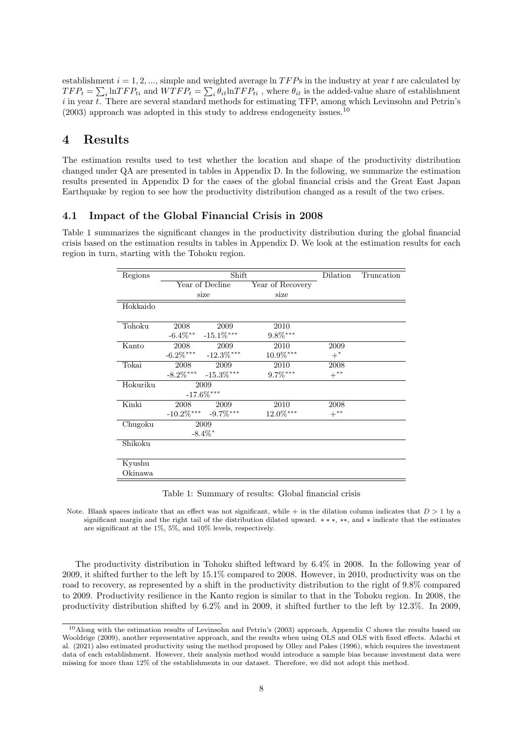establishment *i* = 1*,* 2*, ...*, simple and weighted average ln *T F P*s in the industry at year *t* are calculated by  $TFP_t = \sum_i \ln TFP_{ti}$  and  $WTFP_t = \sum_i \theta_{it} \ln TFP_{ti}$ , where  $\theta_{it}$  is the added-value share of establishment *i* in year *t*. There are several standard methods for estimating TFP, among which Levinsohn and Petrin's  $(2003)$  approach was adopted in this study to address endogeneity issues.<sup>10</sup>

## **4 Results**

The estimation results used to test whether the location and shape of the productivity distribution changed under QA are presented in tables in Appendix D. In the following, we summarize the estimation results presented in Appendix D for the cases of the global financial crisis and the Great East Japan Earthquake by region to see how the productivity distribution changed as a result of the two crises.

#### **4.1 Impact of the Global Financial Crisis in 2008**

Table 1 summarizes the significant changes in the productivity distribution during the global financial crisis based on the estimation results in tables in Appendix D. We look at the estimation results for each region in turn, starting with the Tohoku region.

| Regions  |                       | Shift                      |                  | Dilation | Truncation |
|----------|-----------------------|----------------------------|------------------|----------|------------|
|          |                       | Year of Decline            | Year of Recovery |          |            |
|          |                       | size                       | size             |          |            |
| Hokkaido |                       |                            |                  |          |            |
| Tohoku   | 2008                  | 2009                       | 2010             |          |            |
|          | $-6.4\%$ **           | $-15.1\%$ ***              | $9.8\%^{***}$    |          |            |
| Kanto    | 2008                  | 2009                       | 2010             | 2009     |            |
|          | $-6.2\%$ ***          | $-12.3\%$ ***              | $10.9\%^{***}$   | $+^*$    |            |
| Tokai    | 2008                  | 2009                       | 2010             | 2008     |            |
|          | $-8.2\%***$           | $-15.3\%$ ***              | $9.7\%***$       | $+***$   |            |
| Hokuriku |                       | 2009                       |                  |          |            |
|          |                       | $-17.6\%$ ***              |                  |          |            |
| Kinki    | 2008                  | 2009                       | 2010             | 2008     |            |
|          |                       | $-10.2\%$ *** $-9.7\%$ *** | $12.0\%^{***}$   | $+$ **   |            |
| Chugoku  |                       | 2009                       |                  |          |            |
|          | $-8.4\%$ <sup>*</sup> |                            |                  |          |            |
| Shikoku  |                       |                            |                  |          |            |
|          |                       |                            |                  |          |            |
| Kyushu   |                       |                            |                  |          |            |
| Okinawa  |                       |                            |                  |          |            |

Table 1: Summary of results: Global financial crisis

Note. Blank spaces indicate that an effect was not significant, while + in the dilation column indicates that  $D > 1$  by a significant margin and the right tail of the distribution dilated upward. *∗ ∗ ∗*, *∗∗*, and *∗* indicate that the estimates are significant at the 1%, 5%, and 10% levels, respectively.

The productivity distribution in Tohoku shifted leftward by 6.4% in 2008. In the following year of 2009, it shifted further to the left by 15.1% compared to 2008. However, in 2010, productivity was on the road to recovery, as represented by a shift in the productivity distribution to the right of 9.8% compared to 2009. Productivity resilience in the Kanto region is similar to that in the Tohoku region. In 2008, the productivity distribution shifted by 6.2% and in 2009, it shifted further to the left by 12.3%. In 2009,

<sup>10</sup>Along with the estimation results of Levinsohn and Petrin's (2003) approach, Appendix C shows the results based on Wooldrige (2009), another representative approach, and the results when using OLS and OLS with fixed effects. Adachi et al. (2021) also estimated productivity using the method proposed by Olley and Pakes (1996), which requires the investment data of each establishment. However, their analysis method would introduce a sample bias because investment data were missing for more than 12% of the establishments in our dataset. Therefore, we did not adopt this method.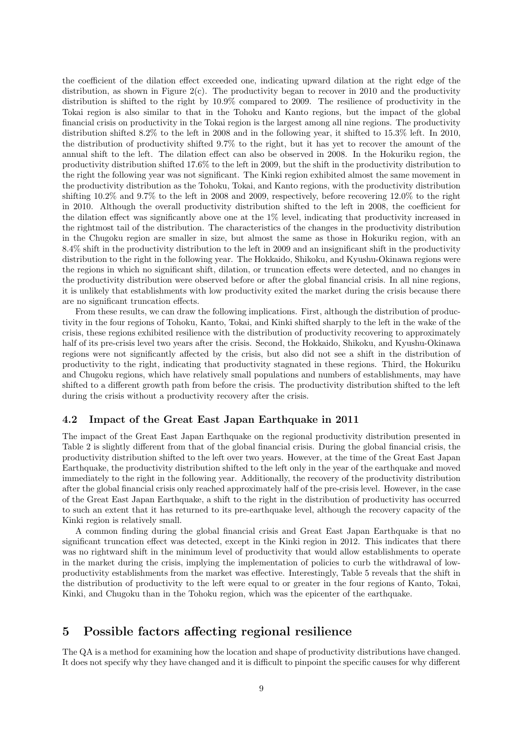the coefficient of the dilation effect exceeded one, indicating upward dilation at the right edge of the distribution, as shown in Figure 2(c). The productivity began to recover in 2010 and the productivity distribution is shifted to the right by 10.9% compared to 2009. The resilience of productivity in the Tokai region is also similar to that in the Tohoku and Kanto regions, but the impact of the global financial crisis on productivity in the Tokai region is the largest among all nine regions. The productivity distribution shifted 8.2% to the left in 2008 and in the following year, it shifted to 15.3% left. In 2010, the distribution of productivity shifted 9.7% to the right, but it has yet to recover the amount of the annual shift to the left. The dilation effect can also be observed in 2008. In the Hokuriku region, the productivity distribution shifted 17.6% to the left in 2009, but the shift in the productivity distribution to the right the following year was not significant. The Kinki region exhibited almost the same movement in the productivity distribution as the Tohoku, Tokai, and Kanto regions, with the productivity distribution shifting 10.2% and 9.7% to the left in 2008 and 2009, respectively, before recovering 12.0% to the right in 2010. Although the overall productivity distribution shifted to the left in 2008, the coefficient for the dilation effect was significantly above one at the 1% level, indicating that productivity increased in the rightmost tail of the distribution. The characteristics of the changes in the productivity distribution in the Chugoku region are smaller in size, but almost the same as those in Hokuriku region, with an 8.4% shift in the productivity distribution to the left in 2009 and an insignificant shift in the productivity distribution to the right in the following year. The Hokkaido, Shikoku, and Kyushu-Okinawa regions were the regions in which no significant shift, dilation, or truncation effects were detected, and no changes in the productivity distribution were observed before or after the global financial crisis. In all nine regions, it is unlikely that establishments with low productivity exited the market during the crisis because there are no significant truncation effects.

From these results, we can draw the following implications. First, although the distribution of productivity in the four regions of Tohoku, Kanto, Tokai, and Kinki shifted sharply to the left in the wake of the crisis, these regions exhibited resilience with the distribution of productivity recovering to approximately half of its pre-crisis level two years after the crisis. Second, the Hokkaido, Shikoku, and Kyushu-Okinawa regions were not significantly affected by the crisis, but also did not see a shift in the distribution of productivity to the right, indicating that productivity stagnated in these regions. Third, the Hokuriku and Chugoku regions, which have relatively small populations and numbers of establishments, may have shifted to a different growth path from before the crisis. The productivity distribution shifted to the left during the crisis without a productivity recovery after the crisis.

#### **4.2 Impact of the Great East Japan Earthquake in 2011**

The impact of the Great East Japan Earthquake on the regional productivity distribution presented in Table 2 is slightly different from that of the global financial crisis. During the global financial crisis, the productivity distribution shifted to the left over two years. However, at the time of the Great East Japan Earthquake, the productivity distribution shifted to the left only in the year of the earthquake and moved immediately to the right in the following year. Additionally, the recovery of the productivity distribution after the global financial crisis only reached approximately half of the pre-crisis level. However, in the case of the Great East Japan Earthquake, a shift to the right in the distribution of productivity has occurred to such an extent that it has returned to its pre-earthquake level, although the recovery capacity of the Kinki region is relatively small.

A common finding during the global financial crisis and Great East Japan Earthquake is that no significant truncation effect was detected, except in the Kinki region in 2012. This indicates that there was no rightward shift in the minimum level of productivity that would allow establishments to operate in the market during the crisis, implying the implementation of policies to curb the withdrawal of lowproductivity establishments from the market was effective. Interestingly, Table 5 reveals that the shift in the distribution of productivity to the left were equal to or greater in the four regions of Kanto, Tokai, Kinki, and Chugoku than in the Tohoku region, which was the epicenter of the earthquake.

## **5 Possible factors affecting regional resilience**

The QA is a method for examining how the location and shape of productivity distributions have changed. It does not specify why they have changed and it is difficult to pinpoint the specific causes for why different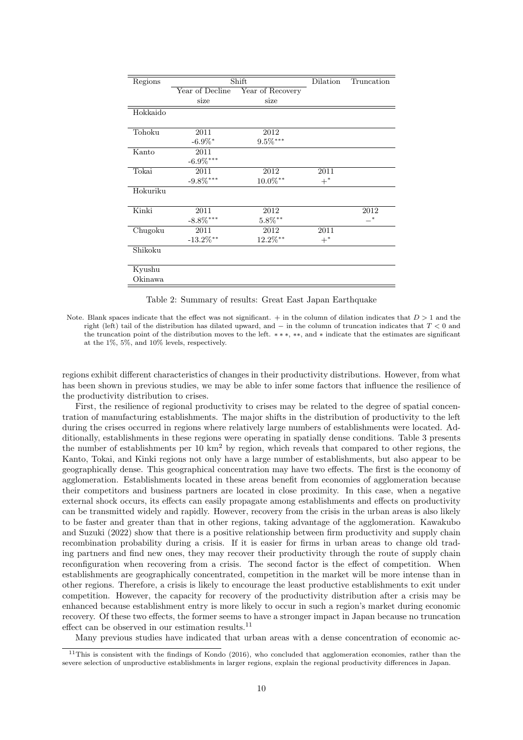| Regions  |                         | Shift            | Dilation | Truncation |
|----------|-------------------------|------------------|----------|------------|
|          | Year of Decline         | Year of Recovery |          |            |
|          | size                    | size             |          |            |
| Hokkaido |                         |                  |          |            |
| Tohoku   | 2011                    | 2012             |          |            |
|          | $-6.9\%$ <sup>*</sup>   | $9.5\%^{***}$    |          |            |
| Kanto    | 2011                    |                  |          |            |
|          | $\textbf{-6.9}\%^{***}$ |                  |          |            |
| Tokai    | 2011                    | 2012             | 2011     |            |
|          | $-9.8\%$ ***            | $10.0\%^{**}$    | $+^*$    |            |
| Hokuriku |                         |                  |          |            |
| Kinki    | 2011                    | 2012             |          | 2012       |
|          | $-8.8\%$ ***            | $5.8\%^{**}$     |          | $-^*$      |
| Chugoku  | 2011                    | 2012             | 2011     |            |
|          | $-13.2\%$ **            | $12.2\%$ **      | $+^*$    |            |
| Shikoku  |                         |                  |          |            |
| Kyushu   |                         |                  |          |            |
| Okinawa  |                         |                  |          |            |

Table 2: Summary of results: Great East Japan Earthquake

regions exhibit different characteristics of changes in their productivity distributions. However, from what has been shown in previous studies, we may be able to infer some factors that influence the resilience of the productivity distribution to crises.

First, the resilience of regional productivity to crises may be related to the degree of spatial concentration of manufacturing establishments. The major shifts in the distribution of productivity to the left during the crises occurred in regions where relatively large numbers of establishments were located. Additionally, establishments in these regions were operating in spatially dense conditions. Table 3 presents the number of establishments per  $10 \text{ km}^2$  by region, which reveals that compared to other regions, the Kanto, Tokai, and Kinki regions not only have a large number of establishments, but also appear to be geographically dense. This geographical concentration may have two effects. The first is the economy of agglomeration. Establishments located in these areas benefit from economies of agglomeration because their competitors and business partners are located in close proximity. In this case, when a negative external shock occurs, its effects can easily propagate among establishments and effects on productivity can be transmitted widely and rapidly. However, recovery from the crisis in the urban areas is also likely to be faster and greater than that in other regions, taking advantage of the agglomeration. Kawakubo and Suzuki (2022) show that there is a positive relationship between firm productivity and supply chain recombination probability during a crisis. If it is easier for firms in urban areas to change old trading partners and find new ones, they may recover their productivity through the route of supply chain reconfiguration when recovering from a crisis. The second factor is the effect of competition. When establishments are geographically concentrated, competition in the market will be more intense than in other regions. Therefore, a crisis is likely to encourage the least productive establishments to exit under competition. However, the capacity for recovery of the productivity distribution after a crisis may be enhanced because establishment entry is more likely to occur in such a region's market during economic recovery. Of these two effects, the former seems to have a stronger impact in Japan because no truncation effect can be observed in our estimation results.<sup>11</sup>

Many previous studies have indicated that urban areas with a dense concentration of economic ac-

Note. Blank spaces indicate that the effect was not significant. + in the column of dilation indicates that *D >* 1 and the right (left) tail of the distribution has dilated upward, and *−* in the column of truncation indicates that *T <* 0 and the truncation point of the distribution moves to the left. *∗ ∗ ∗*, *∗∗*, and *∗* indicate that the estimates are significant at the 1%, 5%, and 10% levels, respectively.

<sup>&</sup>lt;sup>11</sup>This is consistent with the findings of Kondo (2016), who concluded that agglomeration economies, rather than the severe selection of unproductive establishments in larger regions, explain the regional productivity differences in Japan.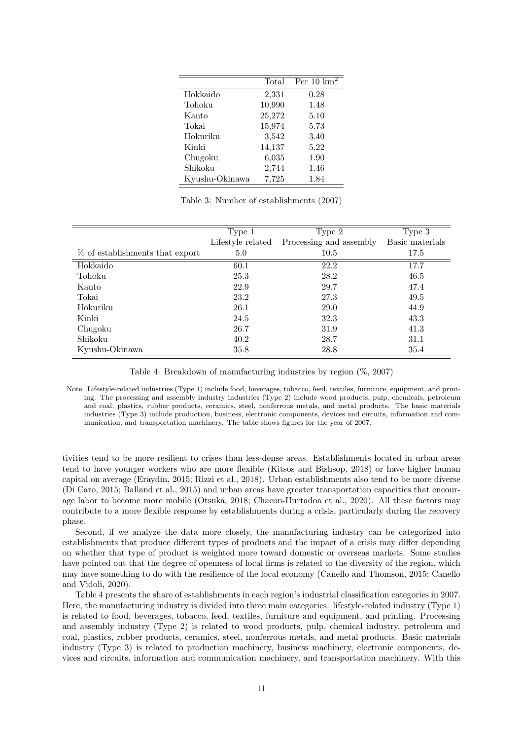|                | Total  | Per $10 \text{ km}^2$ |
|----------------|--------|-----------------------|
| Hokkaido       | 2,331  | 0.28                  |
| Tohoku         | 10,990 | 1.48                  |
| Kanto          | 25,272 | 5.10                  |
| Tokai          | 15,974 | 5.73                  |
| Hokuriku       | 3,542  | 3.40                  |
| Kinki          | 14,137 | 5.22                  |
| Chugoku        | 6,035  | 1.90                  |
| Shikoku        | 2,744  | 1.46                  |
| Kyushu-Okinawa | 7,725  | 1.84                  |

Table 3: Number of establishments (2007)

|                                 | Type 1            | Type 2                  | Type 3          |
|---------------------------------|-------------------|-------------------------|-----------------|
|                                 | Lifestyle related | Processing and assembly | Basic materials |
| % of establishments that export | 5.0               | 10.5                    | 17.5            |
| Hokkaido                        | 60.1              | 22.2                    | 17.7            |
| Tohoku                          | 25.3              | 28.2                    | 46.5            |
| Kanto                           | 22.9              | 29.7                    | 47.4            |
| Tokai                           | 23.2              | 27.3                    | 49.5            |
| Hokuriku                        | 26.1              | 29.0                    | 44.9            |
| Kinki                           | 24.5              | 32.3                    | 43.3            |
| Chugoku                         | 26.7              | 31.9                    | 41.3            |
| Shikoku                         | 40.2              | 28.7                    | 31.1            |
| Kyushu-Okinawa                  | 35.8              | 28.8                    | 35.4            |

Table 4: Breakdown of manufacturing industries by region (%, 2007)

Note. Lifestyle-related industries (Type 1) include food, beverages, tobacco, feed, textiles, furniture, equipment, and printing. The processing and assembly industry industries (Type 2) include wood products, pulp, chemicals, petroleum and coal, plastics, rubber products, ceramics, steel, nonferrous metals, and metal products. The basic materials industries (Type 3) include production, business, electronic components, devices and circuits, information and communication, and transportation machinery. The table shows figures for the year of 2007.

tivities tend to be more resilient to crises than less-dense areas. Establishments located in urban areas tend to have younger workers who are more flexible (Kitsos and Bishsop, 2018) or have higher human capital on average (Eraydin, 2015; Rizzi et al., 2018). Urban establishments also tend to be more diverse (Di Caro, 2015; Balland et al., 2015) and urban areas have greater transportation capacities that encourage labor to become more mobile (Otsuka, 2018; Chacon-Hurtadoa et al., 2020). All these factors may contribute to a more flexible response by establishments during a crisis, particularly during the recovery phase.

Second, if we analyze the data more closely, the manufacturing industry can be categorized into establishments that produce different types of products and the impact of a crisis may differ depending on whether that type of product is weighted more toward domestic or overseas markets. Some studies have pointed out that the degree of openness of local firms is related to the diversity of the region, which may have something to do with the resilience of the local economy (Canello and Thomson, 2015; Canello and Vidoli, 2020).

Table 4 presents the share of establishments in each region's industrial classification categories in 2007. Here, the manufacturing industry is divided into three main categories: lifestyle-related industry (Type 1) is related to food, beverages, tobacco, feed, textiles, furniture and equipment, and printing. Processing and assembly industry (Type 2) is related to wood products, pulp, chemical industry, petroleum and coal, plastics, rubber products, ceramics, steel, nonferrous metals, and metal products. Basic materials industry (Type 3) is related to production machinery, business machinery, electronic components, devices and circuits, information and communication machinery, and transportation machinery. With this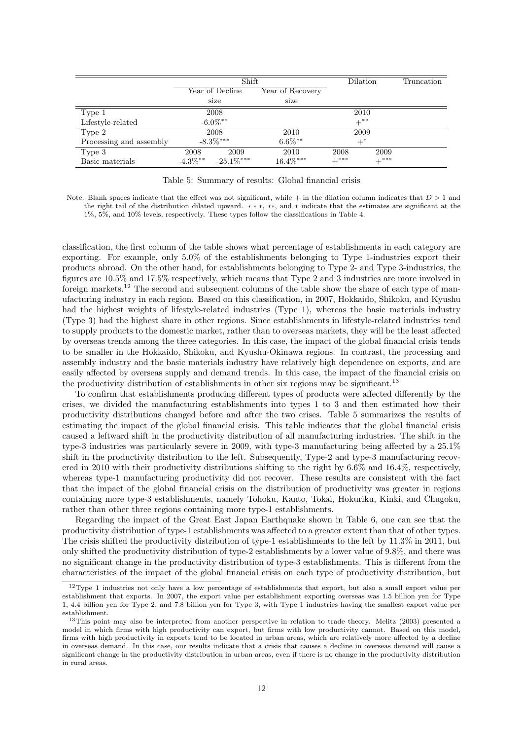|                         |             | Shift           |                  |           | Dilation | Truncation |
|-------------------------|-------------|-----------------|------------------|-----------|----------|------------|
|                         |             | Year of Decline | Year of Recovery |           |          |            |
|                         |             | size            | size             |           |          |            |
| Type 1                  |             | 2008            |                  | 2010      |          |            |
| Lifestyle-related       |             | $-6.0\%$ **     |                  | $+$ **    |          |            |
| Type 2                  |             | 2008            | 2010             | 2009      |          |            |
| Processing and assembly |             | $-8.3\%$ ***    | $6.6\%$ **       | $+^*$     |          |            |
| Type 3                  | 2008        | 2009            | 2010             | 2008      | 2009     |            |
| Basic materials         | $-4.3\%$ ** | $-25.1\%$ ***   | $16.4\%***$      | $+^{***}$ | $+***$   |            |

#### Table 5: Summary of results: Global financial crisis

Note. Blank spaces indicate that the effect was not significant, while + in the dilation column indicates that  $D > 1$  and the right tail of the distribution dilated upward. *∗ ∗ ∗*, *∗∗*, and *∗* indicate that the estimates are significant at the 1%, 5%, and 10% levels, respectively. These types follow the classifications in Table 4.

classification, the first column of the table shows what percentage of establishments in each category are exporting. For example, only 5.0% of the establishments belonging to Type 1-industries export their products abroad. On the other hand, for establishments belonging to Type 2- and Type 3-industries, the figures are 10.5% and 17.5% respectively, which means that Type 2 and 3 industries are more involved in foreign markets.<sup>12</sup> The second and subsequent columns of the table show the share of each type of manufacturing industry in each region. Based on this classification, in 2007, Hokkaido, Shikoku, and Kyushu had the highest weights of lifestyle-related industries (Type 1), whereas the basic materials industry (Type 3) had the highest share in other regions. Since establishments in lifestyle-related industries tend to supply products to the domestic market, rather than to overseas markets, they will be the least affected by overseas trends among the three categories. In this case, the impact of the global financial crisis tends to be smaller in the Hokkaido, Shikoku, and Kyushu-Okinawa regions. In contrast, the processing and assembly industry and the basic materials industry have relatively high dependence on exports, and are easily affected by overseas supply and demand trends. In this case, the impact of the financial crisis on the productivity distribution of establishments in other six regions may be significant.<sup>13</sup>

To confirm that establishments producing different types of products were affected differently by the crises, we divided the manufacturing establishments into types 1 to 3 and then estimated how their productivity distributions changed before and after the two crises. Table 5 summarizes the results of estimating the impact of the global financial crisis. This table indicates that the global financial crisis caused a leftward shift in the productivity distribution of all manufacturing industries. The shift in the type-3 industries was particularly severe in 2009, with type-3 manufacturing being affected by a 25.1% shift in the productivity distribution to the left. Subsequently, Type-2 and type-3 manufacturing recovered in 2010 with their productivity distributions shifting to the right by  $6.6\%$  and  $16.4\%$ , respectively, whereas type-1 manufacturing productivity did not recover. These results are consistent with the fact that the impact of the global financial crisis on the distribution of productivity was greater in regions containing more type-3 establishments, namely Tohoku, Kanto, Tokai, Hokuriku, Kinki, and Chugoku, rather than other three regions containing more type-1 establishments.

Regarding the impact of the Great East Japan Earthquake shown in Table 6, one can see that the productivity distribution of type-1 establishments was affected to a greater extent than that of other types. The crisis shifted the productivity distribution of type-1 establishments to the left by 11.3% in 2011, but only shifted the productivity distribution of type-2 establishments by a lower value of 9.8%, and there was no significant change in the productivity distribution of type-3 establishments. This is different from the characteristics of the impact of the global financial crisis on each type of productivity distribution, but

 $12$ Type 1 industries not only have a low percentage of establishments that export, but also a small export value per establishment that exports. In 2007, the export value per establishment exporting overseas was 1.5 billion yen for Type 1, 4.4 billion yen for Type 2, and 7.8 billion yen for Type 3, with Type 1 industries having the smallest export value per establishment.

<sup>&</sup>lt;sup>13</sup>This point may also be interpreted from another perspective in relation to trade theory. Melitz (2003) presented a model in which firms with high productivity can export, but firms with low productivity cannot. Based on this model, firms with high productivity in exports tend to be located in urban areas, which are relatively more affected by a decline in overseas demand. In this case, our results indicate that a crisis that causes a decline in overseas demand will cause a significant change in the productivity distribution in urban areas, even if there is no change in the productivity distribution in rural areas.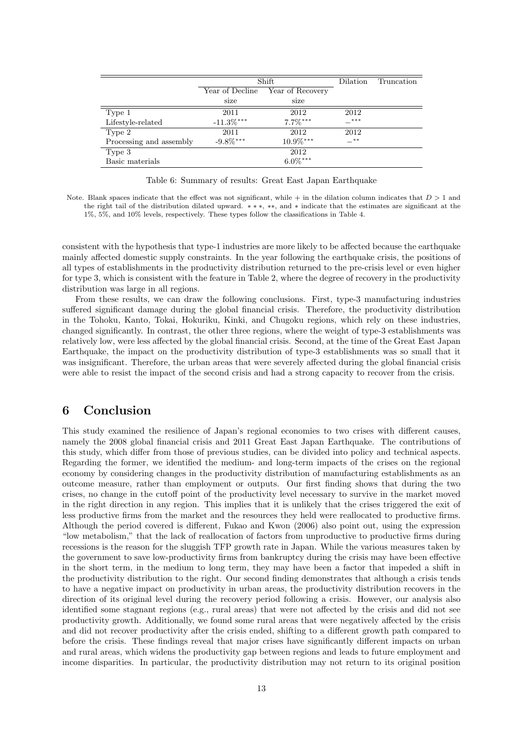|                         | Shift           |                  | Dilation | Truncation |
|-------------------------|-----------------|------------------|----------|------------|
|                         | Year of Decline | Year of Recovery |          |            |
|                         | size            | size             |          |            |
| Type 1                  | 2011            | 2012             | 2012     |            |
| Lifestyle-related       | $-11.3\%$ ***   | $7.7\%***$       | $-***$   |            |
| Type 2                  | 2011            | 2012             | 2012     |            |
| Processing and assembly | $-9.8\%$ ***    | $10.9\%***$      | $-***$   |            |
| Type 3                  |                 | 2012             |          |            |
| Basic materials         |                 | $6.0\%***$       |          |            |

Table 6: Summary of results: Great East Japan Earthquake

Note. Blank spaces indicate that the effect was not significant, while  $+$  in the dilation column indicates that  $D > 1$  and the right tail of the distribution dilated upward. *∗ ∗ ∗*, *∗∗*, and *∗* indicate that the estimates are significant at the 1%, 5%, and 10% levels, respectively. These types follow the classifications in Table 4.

consistent with the hypothesis that type-1 industries are more likely to be affected because the earthquake mainly affected domestic supply constraints. In the year following the earthquake crisis, the positions of all types of establishments in the productivity distribution returned to the pre-crisis level or even higher for type 3, which is consistent with the feature in Table 2, where the degree of recovery in the productivity distribution was large in all regions.

From these results, we can draw the following conclusions. First, type-3 manufacturing industries suffered significant damage during the global financial crisis. Therefore, the productivity distribution in the Tohoku, Kanto, Tokai, Hokuriku, Kinki, and Chugoku regions, which rely on these industries, changed significantly. In contrast, the other three regions, where the weight of type-3 establishments was relatively low, were less affected by the global financial crisis. Second, at the time of the Great East Japan Earthquake, the impact on the productivity distribution of type-3 establishments was so small that it was insignificant. Therefore, the urban areas that were severely affected during the global financial crisis were able to resist the impact of the second crisis and had a strong capacity to recover from the crisis.

## **6 Conclusion**

This study examined the resilience of Japan's regional economies to two crises with different causes, namely the 2008 global financial crisis and 2011 Great East Japan Earthquake. The contributions of this study, which differ from those of previous studies, can be divided into policy and technical aspects. Regarding the former, we identified the medium- and long-term impacts of the crises on the regional economy by considering changes in the productivity distribution of manufacturing establishments as an outcome measure, rather than employment or outputs. Our first finding shows that during the two crises, no change in the cutoff point of the productivity level necessary to survive in the market moved in the right direction in any region. This implies that it is unlikely that the crises triggered the exit of less productive firms from the market and the resources they held were reallocated to productive firms. Although the period covered is different, Fukao and Kwon (2006) also point out, using the expression "low metabolism," that the lack of reallocation of factors from unproductive to productive firms during recessions is the reason for the sluggish TFP growth rate in Japan. While the various measures taken by the government to save low-productivity firms from bankruptcy during the crisis may have been effective in the short term, in the medium to long term, they may have been a factor that impeded a shift in the productivity distribution to the right. Our second finding demonstrates that although a crisis tends to have a negative impact on productivity in urban areas, the productivity distribution recovers in the direction of its original level during the recovery period following a crisis. However, our analysis also identified some stagnant regions (e.g., rural areas) that were not affected by the crisis and did not see productivity growth. Additionally, we found some rural areas that were negatively affected by the crisis and did not recover productivity after the crisis ended, shifting to a different growth path compared to before the crisis. These findings reveal that major crises have significantly different impacts on urban and rural areas, which widens the productivity gap between regions and leads to future employment and income disparities. In particular, the productivity distribution may not return to its original position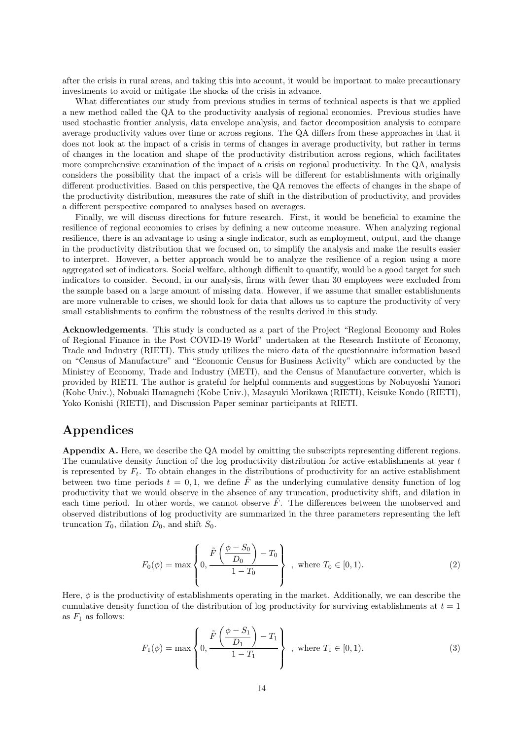after the crisis in rural areas, and taking this into account, it would be important to make precautionary investments to avoid or mitigate the shocks of the crisis in advance.

What differentiates our study from previous studies in terms of technical aspects is that we applied a new method called the QA to the productivity analysis of regional economies. Previous studies have used stochastic frontier analysis, data envelope analysis, and factor decomposition analysis to compare average productivity values over time or across regions. The QA differs from these approaches in that it does not look at the impact of a crisis in terms of changes in average productivity, but rather in terms of changes in the location and shape of the productivity distribution across regions, which facilitates more comprehensive examination of the impact of a crisis on regional productivity. In the QA, analysis considers the possibility that the impact of a crisis will be different for establishments with originally different productivities. Based on this perspective, the QA removes the effects of changes in the shape of the productivity distribution, measures the rate of shift in the distribution of productivity, and provides a different perspective compared to analyses based on averages.

Finally, we will discuss directions for future research. First, it would be beneficial to examine the resilience of regional economies to crises by defining a new outcome measure. When analyzing regional resilience, there is an advantage to using a single indicator, such as employment, output, and the change in the productivity distribution that we focused on, to simplify the analysis and make the results easier to interpret. However, a better approach would be to analyze the resilience of a region using a more aggregated set of indicators. Social welfare, although difficult to quantify, would be a good target for such indicators to consider. Second, in our analysis, firms with fewer than 30 employees were excluded from the sample based on a large amount of missing data. However, if we assume that smaller establishments are more vulnerable to crises, we should look for data that allows us to capture the productivity of very small establishments to confirm the robustness of the results derived in this study.

**Acknowledgements**. This study is conducted as a part of the Project "Regional Economy and Roles of Regional Finance in the Post COVID-19 World" undertaken at the Research Institute of Economy, Trade and Industry (RIETI). This study utilizes the micro data of the questionnaire information based on "Census of Manufacture" and "Economic Census for Business Activity" which are conducted by the Ministry of Economy, Trade and Industry (METI), and the Census of Manufacture converter, which is provided by RIETI. The author is grateful for helpful comments and suggestions by Nobuyoshi Yamori (Kobe Univ.), Nobuaki Hamaguchi (Kobe Univ.), Masayuki Morikawa (RIETI), Keisuke Kondo (RIETI), Yoko Konishi (RIETI), and Discussion Paper seminar participants at RIETI.

# **Appendices**

**Appendix A.** Here, we describe the QA model by omitting the subscripts representing different regions. The cumulative density function of the log productivity distribution for active establishments at year *t* is represented by  $F_t$ . To obtain changes in the distributions of productivity for an active establishment between two time periods  $t = 0, 1$ , we define  $\tilde{F}$  as the underlying cumulative density function of log productivity that we would observe in the absence of any truncation, productivity shift, and dilation in each time period. In other words, we cannot observe  $\tilde{F}$ . The differences between the unobserved and observed distributions of log productivity are summarized in the three parameters representing the left truncation  $T_0$ , dilation  $D_0$ , and shift  $S_0$ .

$$
F_0(\phi) = \max\left\{0, \frac{\tilde{F}\left(\frac{\phi - S_0}{D_0}\right) - T_0}{1 - T_0}\right\}, \text{ where } T_0 \in [0, 1).
$$
 (2)

Here,  $\phi$  is the productivity of establishments operating in the market. Additionally, we can describe the cumulative density function of the distribution of log productivity for surviving establishments at *t* = 1 as  $F_1$  as follows:

$$
F_1(\phi) = \max\left\{0, \frac{\tilde{F}\left(\frac{\phi - S_1}{D_1}\right) - T_1}{1 - T_1}\right\}, \text{ where } T_1 \in [0, 1).
$$
 (3)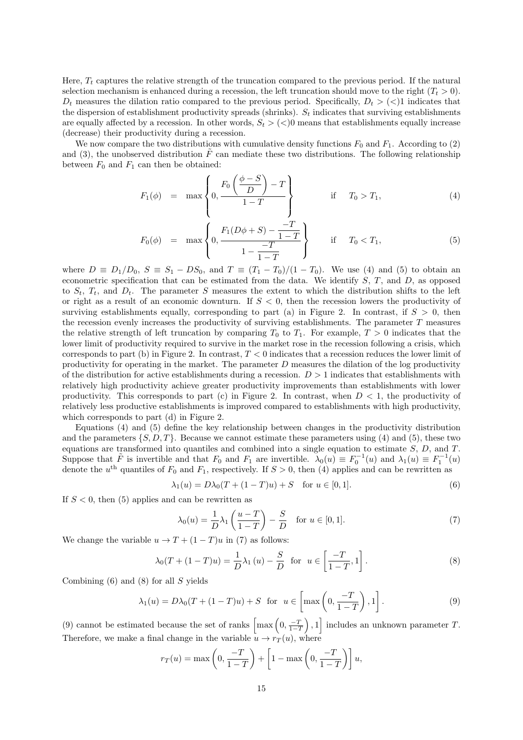Here, *T<sup>t</sup>* captures the relative strength of the truncation compared to the previous period. If the natural selection mechanism is enhanced during a recession, the left truncation should move to the right  $(T<sub>t</sub> > 0)$ .  $D_t$  measures the dilation ratio compared to the previous period. Specifically,  $D_t$  > ( $\lt$ )1 indicates that the dispersion of establishment productivity spreads (shrinks).  $S_t$  indicates that surviving establishments are equally affected by a recession. In other words,  $S_t$   $>$   $(<)$ 0 means that establishments equally increase (decrease) their productivity during a recession.

We now compare the two distributions with cumulative density functions  $F_0$  and  $F_1$ . According to (2) and (3), the unobserved distribution  $\tilde{F}$  can mediate these two distributions. The following relationship between  $F_0$  and  $F_1$  can then be obtained:

$$
F_1(\phi) = \max \left\{ 0, \frac{F_0\left(\frac{\phi - S}{D}\right) - T}{1 - T} \right\} \quad \text{if} \quad T_0 > T_1,\tag{4}
$$

$$
F_0(\phi) = \max \left\{ 0, \frac{F_1(D\phi + S) - \frac{-T}{1 - T}}{1 - \frac{-T}{1 - T}} \right\} \quad \text{if} \quad T_0 < T_1,\tag{5}
$$

where  $D \equiv D_1/D_0$ ,  $S \equiv S_1 - DS_0$ , and  $T \equiv (T_1 - T_0)/(1 - T_0)$ . We use (4) and (5) to obtain an econometric specification that can be estimated from the data. We identify *S*, *T*, and *D*, as opposed to  $S_t$ ,  $T_t$ , and  $D_t$ . The parameter *S* measures the extent to which the distribution shifts to the left or right as a result of an economic downturn. If *S <* 0, then the recession lowers the productivity of surviving establishments equally, corresponding to part (a) in Figure 2. In contrast, if  $S > 0$ , then the recession evenly increases the productivity of surviving establishments. The parameter *T* measures the relative strength of left truncation by comparing  $T_0$  to  $T_1$ . For example,  $T > 0$  indicates that the lower limit of productivity required to survive in the market rose in the recession following a crisis, which corresponds to part (b) in Figure 2. In contrast, *T <* 0 indicates that a recession reduces the lower limit of productivity for operating in the market. The parameter *D* measures the dilation of the log productivity of the distribution for active establishments during a recession. *D >* 1 indicates that establishments with relatively high productivity achieve greater productivity improvements than establishments with lower productivity. This corresponds to part (c) in Figure 2. In contrast, when  $D < 1$ , the productivity of relatively less productive establishments is improved compared to establishments with high productivity, which corresponds to part (d) in Figure 2.

Equations (4) and (5) define the key relationship between changes in the productivity distribution and the parameters *{S, D, T}*. Because we cannot estimate these parameters using (4) and (5), these two equations are transformed into quantiles and combined into a single equation to estimate *S*, *D*, and *T*. Suppose that  $\tilde{F}$  is invertible and that  $F_0$  and  $F_1$  are invertible.  $\lambda_0(u) \equiv F_0^{-1}(u)$  and  $\lambda_1(u) \equiv F_1^{-1}(u)$ denote the  $u^{\text{th}}$  quantiles of  $F_0$  and  $F_1$ , respectively. If  $S > 0$ , then (4) applies and can be rewritten as

$$
\lambda_1(u) = D\lambda_0(T + (1 - T)u) + S \quad \text{for } u \in [0, 1].
$$
 (6)

If  $S < 0$ , then  $(5)$  applies and can be rewritten as

$$
\lambda_0(u) = \frac{1}{D}\lambda_1\left(\frac{u-T}{1-T}\right) - \frac{S}{D} \quad \text{for } u \in [0,1].
$$
 (7)

We change the variable  $u \to T + (1 - T)u$  in (7) as follows:

$$
\lambda_0(T + (1 - T)u) = \frac{1}{D}\lambda_1(u) - \frac{S}{D} \text{ for } u \in \left[\frac{-T}{1 - T}, 1\right].
$$
 (8)

Combining (6) and (8) for all *S* yields

$$
\lambda_1(u) = D\lambda_0(T + (1 - T)u) + S \text{ for } u \in \left[\max\left(0, \frac{-T}{1 - T}\right), 1\right].
$$
 (9)

(9) cannot be estimated because the set of ranks  $\left[\max\left(0, \frac{-T}{1-T}\right)\right]$ ) *,* 1 ] includes an unknown parameter *T*. Therefore, we make a final change in the variable  $u \to r_T(u)$ , where

$$
r_T(u) = \max\left(0, \frac{-T}{1-T}\right) + \left[1 - \max\left(0, \frac{-T}{1-T}\right)\right]u,
$$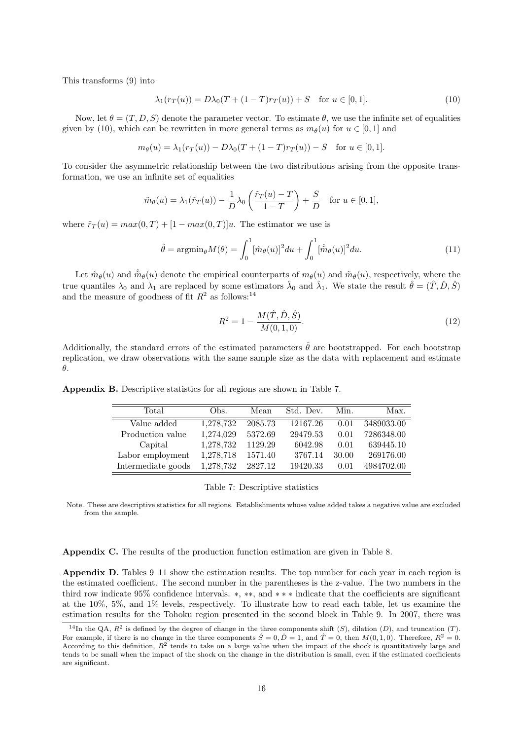This transforms (9) into

$$
\lambda_1(r_T(u)) = D\lambda_0(T + (1 - T)r_T(u)) + S \text{ for } u \in [0, 1].
$$
\n(10)

Now, let  $\theta = (T, D, S)$  denote the parameter vector. To estimate  $\theta$ , we use the infinite set of equalities given by (10), which can be rewritten in more general terms as  $m_{\theta}(u)$  for  $u \in [0,1]$  and

$$
m_{\theta}(u) = \lambda_1(r_T(u)) - D\lambda_0(T + (1 - T)r_T(u)) - S
$$
 for  $u \in [0, 1]$ .

To consider the asymmetric relationship between the two distributions arising from the opposite transformation, we use an infinite set of equalities

$$
\tilde{m}_{\theta}(u) = \lambda_1(\tilde{r}_T(u)) - \frac{1}{D}\lambda_0\left(\frac{\tilde{r}_T(u) - T}{1 - T}\right) + \frac{S}{D} \quad \text{for } u \in [0, 1],
$$

where  $\tilde{r}_T(u) = max(0, T) + [1 - max(0, T)]u$ . The estimator we use is

$$
\hat{\theta} = \operatorname{argmin}_{\theta} M(\theta) = \int_0^1 [\hat{m}_{\theta}(u)]^2 du + \int_0^1 [\hat{\tilde{m}}_{\theta}(u)]^2 du.
$$
\n(11)

Let  $\hat{m}_{\theta}(u)$  and  $\hat{\hat{m}}_{\theta}(u)$  denote the empirical counterparts of  $m_{\theta}(u)$  and  $\hat{m}_{\theta}(u)$ , respectively, where the true quantiles  $\lambda_0$  and  $\lambda_1$  are replaced by some estimators  $\hat{\lambda}_0$  and  $\hat{\lambda}_1$ . We state the result  $\hat{\theta} = (\hat{T}, \hat{D}, \hat{S})$ and the measure of goodness of fit  $R^2$  as follows:<sup>14</sup>

$$
R^2 = 1 - \frac{M(\hat{T}, \hat{D}, \hat{S})}{M(0, 1, 0)}.
$$
\n(12)

Additionally, the standard errors of the estimated parameters  $\hat{\theta}$  are bootstrapped. For each bootstrap replication, we draw observations with the same sample size as the data with replacement and estimate *θ*.

Total Obs. Mean Std. Dev. Min. Max. Value added 1,278,732 2085.73 12167.26 0.01 3489033.00 Production value 1,274,029 5372.69 29479.53 0.01 7286348.00 Capital 1,278,732 1129.29 6042.98 0.01 639445.10 Labor employment 1,278,718 1571.40 3767.14 30.00 269176.00 Intermediate goods 1,278,732 2827.12 19420.33 0.01 4984702.00

**Appendix B.** Descriptive statistics for all regions are shown in Table 7.

Note. These are descriptive statistics for all regions. Establishments whose value added takes a negative value are excluded from the sample.

**Appendix C.** The results of the production function estimation are given in Table 8.

**Appendix D.** Tables 9–11 show the estimation results. The top number for each year in each region is the estimated coefficient. The second number in the parentheses is the z-value. The two numbers in the third row indicate 95% confidence intervals. *∗*, *∗∗*, and *∗ ∗ ∗* indicate that the coefficients are significant at the 10%, 5%, and 1% levels, respectively. To illustrate how to read each table, let us examine the estimation results for the Tohoku region presented in the second block in Table 9. In 2007, there was

Table 7: Descriptive statistics

<sup>&</sup>lt;sup>14</sup>In the QA,  $R^2$  is defined by the degree of change in the three components shift  $(S)$ , dilation  $(D)$ , and truncation  $(T)$ . For example, if there is no change in the three components  $\hat{S} = 0$ ,  $\hat{D} = 1$ , and  $\hat{T} = 0$ , then  $M(0, 1, 0)$ . Therefore,  $R^2 = 0$ . According to this definition,  $R^2$  tends to take on a large value when the impact of the shock is quantitatively large and tends to be small when the impact of the shock on the change in the distribution is small, even if the estimated coefficients are significant.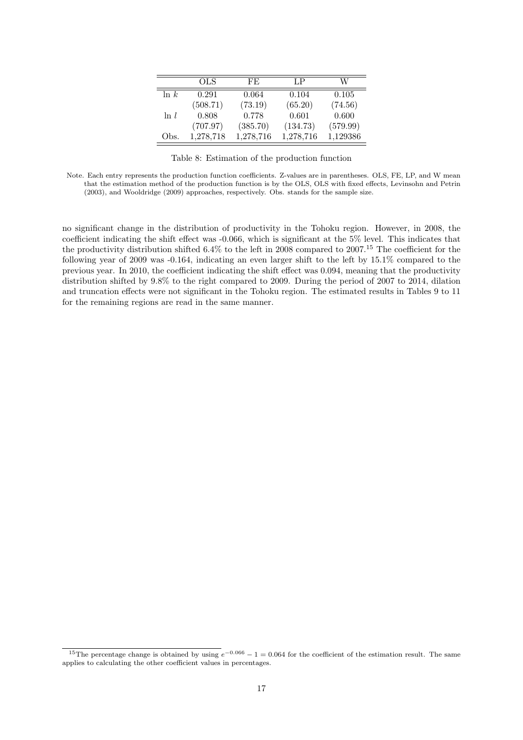|         | OLS       | FE.       | $L_{\rm P}$ | W        |
|---------|-----------|-----------|-------------|----------|
| $\ln k$ | 0.291     | 0.064     | 0.104       | 0.105    |
|         | (508.71)  | (73.19)   | (65.20)     | (74.56)  |
| $\ln l$ | 0.808     | 0.778     | 0.601       | 0.600    |
|         | (707.97)  | (385.70)  | (134.73)    | (579.99) |
| Obs.    | 1,278,718 | 1,278,716 | 1,278,716   | 1,129386 |

Table 8: Estimation of the production function

no significant change in the distribution of productivity in the Tohoku region. However, in 2008, the coefficient indicating the shift effect was -0.066, which is significant at the 5% level. This indicates that the productivity distribution shifted  $6.4\%$  to the left in 2008 compared to 2007.<sup>15</sup> The coefficient for the following year of 2009 was -0.164, indicating an even larger shift to the left by 15.1% compared to the previous year. In 2010, the coefficient indicating the shift effect was 0.094, meaning that the productivity distribution shifted by 9.8% to the right compared to 2009. During the period of 2007 to 2014, dilation and truncation effects were not significant in the Tohoku region. The estimated results in Tables 9 to 11 for the remaining regions are read in the same manner.

Note. Each entry represents the production function coefficients. Z-values are in parentheses. OLS, FE, LP, and W mean that the estimation method of the production function is by the OLS, OLS with fixed effects, Levinsohn and Petrin (2003), and Wooldridge (2009) approaches, respectively. Obs. stands for the sample size.

<sup>&</sup>lt;sup>15</sup>The percentage change is obtained by using  $e^{-0.066} - 1 = 0.064$  for the coefficient of the estimation result. The same applies to calculating the other coefficient values in percentages.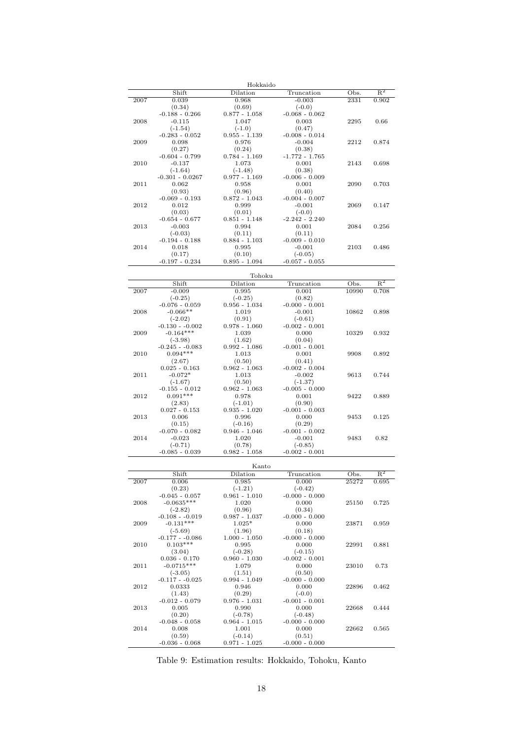|      |                                 | Hokkaido                  |                               |       |                           |
|------|---------------------------------|---------------------------|-------------------------------|-------|---------------------------|
|      | Shift                           | Dilation                  | Truncation                    | Obs.  | $\mathbb{R}^2$            |
| 2007 | 0.039                           | 0.968                     | $-0.003$                      | 2331  | 0.902                     |
|      | (0.34)<br>$-0.188 - 0.266$      | (0.69)<br>$0.877 - 1.058$ | $(-0.0)$                      |       |                           |
| 2008 | $-0.115$                        | 1.047                     | $-0.068 - 0.062$<br>0.003     | 2295  | 0.66                      |
|      | $(-1.54)$                       | $(-1.0)$                  | (0.47)                        |       |                           |
|      | $-0.283 - 0.052$                | $0.955 - 1.139$           | $-0.008 - 0.014$              |       |                           |
| 2009 | 0.098                           | 0.976                     | $-0.004$                      | 2212  | 0.874                     |
|      | (0.27)                          | (0.24)                    | (0.38)                        |       |                           |
|      | $-0.604 - 0.799$                | $0.784 - 1.169$           | $-1.772 - 1.765$              |       |                           |
| 2010 | $-0.137$<br>$(-1.64)$           | 1.073<br>$(-1.48)$        | 0.001<br>(0.38)               | 2143  | 0.698                     |
|      | $-0.301 - 0.0267$               | $0.977 - 1.169$           | $-0.006 - 0.009$              |       |                           |
| 2011 | 0.062                           | 0.958                     | 0.001                         | 2090  | 0.703                     |
|      | (0.93)                          | (0.96)                    | (0.40)                        |       |                           |
|      | $-0.069 - 0.193$                | $0.872 - 1.043$           | $-0.004 - 0.007$              |       |                           |
| 2012 | 0.012                           | 0.999                     | $-0.001$                      | 2069  | 0.147                     |
|      | (0.03)                          | (0.01)                    | $(-0.0)$                      |       |                           |
| 2013 | $-0.654 - 0.677$<br>$-0.003$    | $0.851 - 1.148$<br>0.994  | $-2.242 - 2.240$<br>0.001     | 2084  | 0.256                     |
|      | $(-0.03)$                       | (0.11)                    | (0.11)                        |       |                           |
|      | $-0.194 - 0.188$                | $0.884 - 1.103$           | $-0.009 - 0.010$              |       |                           |
| 2014 | 0.018                           | 0.995                     | $-0.001$                      | 2103  | 0.486                     |
|      | (0.17)                          | (0.10)                    | $(-0.05)$                     |       |                           |
|      | $-0.197 - 0.234$                | $0.895 - 1.094$           | $-0.057 - 0.055$              |       |                           |
|      |                                 |                           |                               |       |                           |
|      | Shift                           | Tohoku<br>Dilation        | Truncation                    | Obs.  | $\mathbb{R}^2$            |
| 2007 | $-0.009$                        | 0.995                     | 0.001                         | 10990 | 0.708                     |
|      | $(-0.25)$                       | $(-0.25)$                 | (0.82)                        |       |                           |
|      | $-0.076 - 0.059$                | $0.956 - 1.034$           | $-0.000 - 0.001$              |       |                           |
| 2008 | $-0.066**$                      | 1.019                     | $-0.001$                      | 10862 | 0.898                     |
|      | $(-2.02)$                       | (0.91)                    | $(-0.61)$                     |       |                           |
|      | $-0.130 - 0.002$<br>$-0.164***$ | $0.978 - 1.060$           | $-0.002 - 0.001$              |       |                           |
| 2009 | $(-3.98)$                       | 1.039<br>(1.62)           | 0.000<br>(0.04)               | 10329 | 0.932                     |
|      | $-0.245 - 0.083$                | $0.992 - 1.086$           | $-0.001 - 0.001$              |       |                           |
| 2010 | $0.094***$                      | 1.013                     | 0.001                         | 9908  | 0.892                     |
|      | (2.67)                          | (0.50)                    | (0.41)                        |       |                           |
|      | $0.025 - 0.163$                 | $0.962 - 1.063$           | $-0.002 - 0.004$              |       |                           |
| 2011 | $-0.072*$                       | 1.013                     | $-0.002$                      | 9613  | 0.744                     |
|      | $(-1.67)$                       | (0.50)                    | $(-1.37)$                     |       |                           |
| 2012 | $-0.155 - 0.012$<br>$0.091***$  | $0.962 - 1.063$<br>0.978  | $-0.005 - 0.000$<br>0.001     | 9422  | 0.889                     |
|      | (2.83)                          | $(-1.01)$                 | (0.90)                        |       |                           |
|      | $0.027 - 0.153$                 | $0.935 - 1.020$           | $-0.001 - 0.003$              |       |                           |
| 2013 | 0.006                           | 0.996                     | 0.000                         | 9453  | 0.125                     |
|      | (0.15)                          | $(-0.16)$                 | (0.29)                        |       |                           |
|      | $-0.070 - 0.082$                | $0.946 - 1.046$           | $-0.001 - 0.002$              |       |                           |
| 2014 | $-0.023$                        | 1.020                     | $-0.001$                      | 9483  | 0.82                      |
|      | $(-0.71)$<br>$-0.085 - 0.039$   | (0.78)<br>$0.982 - 1.058$ | $(-0.85)$<br>$-0.002 - 0.001$ |       |                           |
|      |                                 |                           |                               |       |                           |
|      |                                 | Kanto                     |                               |       |                           |
|      | Shift                           | Dilation                  | Truncation                    | Obs.  | $\overline{\mathrm{R}^2}$ |
| 2007 | 0.006                           | 0.985                     | 0.000                         | 25272 | 0.695                     |
|      | (0.23)<br>$-0.045 - 0.057$      | $(-1.21)$                 | $(-0.42)$                     |       |                           |
| 2008 | $-0.0635***$                    | $0.961 - 1.010$<br>1.020  | $-0.000 - 0.000$<br>0.000     | 25150 | 0.725                     |
|      | $(-2.82)$                       | (0.96)                    | (0.34)                        |       |                           |
|      | $-0.108 - 0.019$                | $0.987 - 1.037$           | $-0.000 - 0.000$              |       |                           |
| 2009 | $-0.131***$                     | $1.025*$                  | 0.000                         | 23871 | 0.959                     |
|      | $(-5.69)$                       | (1.96)                    | (0.18)                        |       |                           |
|      | $-0.177 - -0.086$               | $1.000 - 1.050$           | $-0.000 - 0.000$              |       |                           |
| 2010 | $0.103***$<br>(3.04)            | 0.995<br>$(-0.28)$        | 0.000<br>$(-0.15)$            | 22991 | 0.881                     |
|      | $0.036 - 0.170$                 | $0.960 - 1.030$           | $-0.002 - 0.001$              |       |                           |
| 2011 | $-0.0715***$                    | 1.079                     | 0.000                         | 23010 | 0.73                      |
|      | $(-3.05)$                       | (1.51)                    | (0.50)                        |       |                           |
|      | $-0.117 - -0.025$               | $0.994 - 1.049$           | $-0.000 - 0.000$              |       |                           |
| 2012 | 0.0333                          | 0.946                     | 0.000                         | 22896 | 0.462                     |
|      | (1.43)                          | (0.29)                    | $(-0.0)$                      |       |                           |
|      | $-0.012 - 0.079$                | $0.976 - 1.031$           | $-0.001 - 0.001$              |       |                           |
| 2013 | 0.005<br>(0.20)                 | 0.990<br>$(-0.78)$        | 0.000<br>$(-0.48)$            | 22668 | 0.444                     |
|      | $-0.048 - 0.058$                | $0.964 - 1.015$           | $-0.000 - 0.000$              |       |                           |
| 2014 | 0.008                           | 1.001                     | 0.000                         | 22662 | 0.565                     |
|      | (0.59)                          | $(-0.14)$                 | (0.51)                        |       |                           |
|      | $-0.036 - 0.068$                | $0.971 - 1.025$           | $-0.000 - 0.000$              |       |                           |

Table 9: Estimation results: Hokkaido, Tohoku, Kanto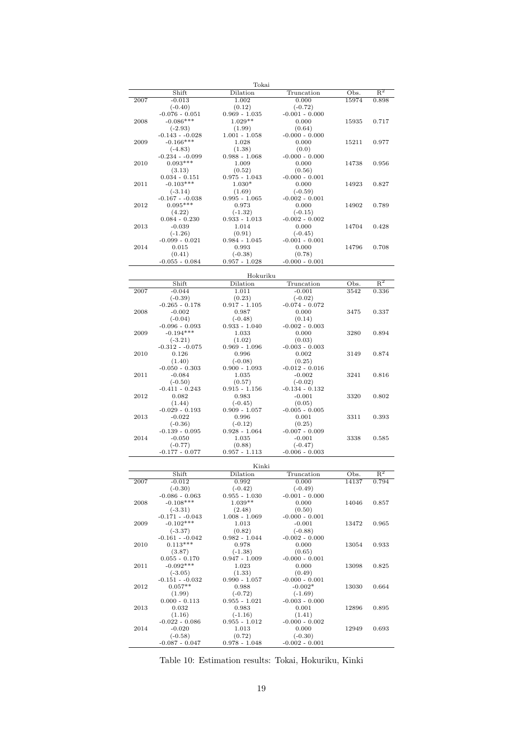|      |                                  | Tokai                        |                               |               |                           |
|------|----------------------------------|------------------------------|-------------------------------|---------------|---------------------------|
|      | Shift                            | Dilation                     | Truncation                    | Obs.          | $\mathbb{R}^2$            |
| 2007 | $-0.013$<br>$(-0.40)$            | 1.002<br>(0.12)              | 0.000<br>$(-0.72)$            | 15974         | 0.898                     |
|      | $-0.076 - 0.051$                 | $0.969 - 1.035$              | $-0.001 - 0.000$              |               |                           |
| 2008 | $-0.086***$                      | $1.029**$                    | 0.000                         | 15935         | 0.717                     |
|      | $(-2.93)$                        | (1.99)                       | (0.64)                        |               |                           |
|      | $-0.143 - 0.028$                 | $1.001 - 1.058$              | $-0.000 - 0.000$              |               |                           |
| 2009 | $-0.166***$                      | 1.028                        | 0.000                         | 15211         | 0.977                     |
|      | $(-4.83)$<br>$-0.234 - 0.099$    | (1.38)<br>$0.988 - 1.068$    | (0.0)<br>$-0.000 - 0.000$     |               |                           |
| 2010 | $0.093***$                       | 1.009                        | 0.000                         | 14738         | 0.956                     |
|      | (3.13)                           | (0.52)                       | (0.56)                        |               |                           |
|      | $0.034 - 0.151$                  | $0.975 - 1.043$              | $-0.000 - 0.001$              |               |                           |
| 2011 | $-0.103***$<br>$(-3.14)$         | $1.030*$<br>(1.69)           | 0.000<br>$(-0.59)$            | 14923         | 0.827                     |
|      | $-0.167 - 0.038$                 | $0.995 - 1.065$              | $-0.002 - 0.001$              |               |                           |
| 2012 | $0.095***$                       | 0.973                        | 0.000                         | 14902         | 0.789                     |
|      | (4.22)                           | $(-1.32)$                    | $(-0.15)$                     |               |                           |
|      | $0.084 - 0.230$                  | $0.933 - 1.013$              | $-0.002 - 0.002$              |               |                           |
| 2013 | $-0.039$<br>$(-1.26)$            | 1.014<br>(0.91)              | 0.000                         | 14704         | 0.428                     |
|      | $-0.099 - 0.021$                 | $0.984 - 1.045$              | $(-0.45)$<br>$-0.001 - 0.001$ |               |                           |
| 2014 | 0.015                            | 0.993                        | 0.000                         | 14796         | 0.708                     |
|      | (0.41)                           | $(-0.38)$                    | (0.78)                        |               |                           |
|      | $-0.055 - 0.084$                 | $0.957 - 1.028$              | $-0.000 - 0.001$              |               |                           |
|      |                                  | Hokuriku                     |                               |               |                           |
|      | Shift                            | Dilation                     | Truncation                    | Obs.          | $R^2$                     |
| 2007 | $-0.044$                         | 1.011                        | $-0.001$                      | 3542          | 0.336                     |
|      | $(-0.39)$                        | (0.23)                       | $(-0.02)$                     |               |                           |
| 2008 | $-0.265 - 0.178$                 | $0.917 - 1.105$              | $-0.074 - 0.072$              |               |                           |
|      | $-0.002$<br>$(-0.04)$            | 0.987<br>$(-0.48)$           | 0.000<br>(0.14)               | 3475          | 0.337                     |
|      | $-0.096 - 0.093$                 | $0.933 - 1.040$              | $-0.002 - 0.003$              |               |                           |
| 2009 | $-0.194***$                      | 1.033                        | 0.000                         | 3280          | 0.894                     |
|      | $(-3.21)$                        | (1.02)                       | (0.03)                        |               |                           |
|      | $-0.312 - 0.075$                 | $0.969 - 1.096$              | $-0.003 - 0.003$              |               |                           |
| 2010 | 0.126<br>(1.40)                  | 0.996<br>$(-0.08)$           | 0.002<br>(0.25)               | 3149          | 0.874                     |
|      | $-0.050 - 0.303$                 | $0.900 - 1.093$              | $-0.012 - 0.016$              |               |                           |
| 2011 | $-0.084$                         | 1.035                        | $-0.002$                      | 3241          | 0.816                     |
|      | $(-0.50)$                        | (0.57)                       | $(-0.02)$                     |               |                           |
|      | $-0.411 - 0.243$                 | $0.915 - 1.156$              | $-0.134 - 0.132$              |               |                           |
| 2012 | 0.082<br>(1.44)                  | 0.983<br>$(-0.45)$           | $-0.001$<br>(0.05)            | 3320          | 0.802                     |
|      | $-0.029 - 0.193$                 | $0.909 - 1.057$              | $-0.005 - 0.005$              |               |                           |
| 2013 | $-0.022$                         | 0.996                        | 0.001                         | 3311          | 0.393                     |
|      | $(-0.36)$                        | $(-0.12)$                    | (0.25)                        |               |                           |
|      | $-0.139 - 0.095$                 | $0.928 - 1.064$              | $-0.007 - 0.009$              |               |                           |
| 2014 | $-0.050$<br>$(-0.77)$            | 1.035<br>(0.88)              | $-0.001$<br>$(-0.47)$         | 3338          | 0.585                     |
|      | $-0.177 - 0.077$                 | $0.957 - 1.113$              | $-0.006 - 0.003$              |               |                           |
|      |                                  |                              |                               |               |                           |
|      |                                  | Kinki                        |                               |               | $\overline{\mathrm{R}^2}$ |
| 2007 | Shift<br>$-0.012$                | Dilation<br>0.992            | Truncation<br>0.000           | Obs.<br>14137 | 0.794                     |
|      | $(-0.30)$                        | $(-0.42)$                    | $(-0.49)$                     |               |                           |
|      | $-0.086 - 0.063$                 | $0.955 - 1.030$              | $-0.001 - 0.000$              |               |                           |
| 2008 | $-0.108***$                      | $1.039**$                    | 0.000                         | 14046         | 0.857                     |
|      | $(-3.31)$                        | (2.48)                       | (0.50)                        |               |                           |
|      | $-0.171 - -0.043$<br>$-0.102***$ | $1.008 - 1.069$              | $-0.000 - 0.001$              |               |                           |
| 2009 | $(-3.37)$                        | 1.013<br>(0.82)              | $-0.001$<br>$(-0.88)$         | 13472         | 0.965                     |
|      | $-0.161 - -0.042$                | $0.982 - 1.044$              | $-0.002 - 0.000$              |               |                           |
| 2010 | $0.113***$                       | 0.978                        | 0.000                         | 13054         | 0.933                     |
|      | (3.87)                           | $(-1.38)$                    | (0.65)                        |               |                           |
|      | $0.055 - 0.170$                  | $0.947 - 1.009$              | $-0.000 - 0.001$              |               |                           |
| 2011 | $-0.092***$<br>$(-3.05)$         | 1.023                        | 0.000<br>(0.49)               | 13098         | 0.825                     |
|      | $-0.151 - -0.032$                | (1.33)<br>$0.990 - 1.057$    | $-0.000 - 0.001$              |               |                           |
| 2012 | $0.057**$                        | 0.988                        | $-0.002*$                     | 13030         | 0.664                     |
|      | (1.99)                           | $(-0.72)$                    | $(-1.69)$                     |               |                           |
|      | $0.000 - 0.113$                  | $0.955 - 1.021$              | $-0.003 - 0.000$              |               |                           |
| 2013 | 0.032                            | 0.983                        | 0.001                         | 12896         | 0.895                     |
|      | (1.16)<br>$-0.022 - 0.086$       | $(-1.16)$<br>$0.955 - 1.012$ | (1.41)<br>$-0.000 - 0.002$    |               |                           |
| 2014 | $-0.020$                         | 1.013                        | 0.000                         | 12949         | 0.693                     |
|      | $(-0.58)$                        | (0.72)                       | $(-0.30)$                     |               |                           |
|      | $-0.087 - 0.047$                 | $0.978 - 1.048$              | $-0.002 - 0.001$              |               |                           |

Table 10: Estimation results: Tokai, Hokuriku, Kinki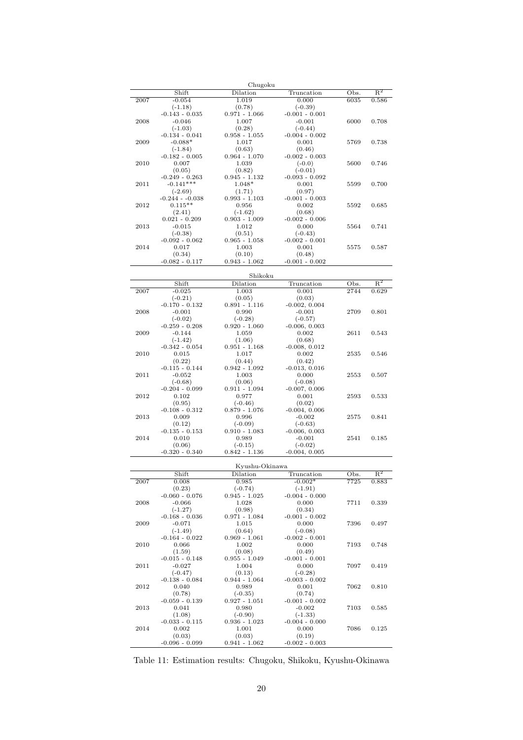| Chugoku |                                 |                              |                               |               |                |  |  |
|---------|---------------------------------|------------------------------|-------------------------------|---------------|----------------|--|--|
|         | Shift                           | Dilation                     | Truncation                    | Obs.          | $\mathbb{R}^2$ |  |  |
| 2007    | $-0.054$                        | 1.019                        | 0.000                         | 6035          | 0.586          |  |  |
|         | $(-1.18)$<br>$-0.143 - 0.035$   | (0.78)<br>$0.971 - 1.066$    | $(-0.39)$<br>$-0.001 - 0.001$ |               |                |  |  |
| 2008    | $-0.046$                        | 1.007                        | $-0.001$                      | 6000          | 0.708          |  |  |
|         | $(-1.03)$                       | (0.28)                       | $(-0.44)$                     |               |                |  |  |
|         | $-0.134 - 0.041$                | $0.958 - 1.055$              | $-0.004 - 0.002$              |               |                |  |  |
| 2009    | $-0.088*$<br>$(-1.84)$          | 1.017<br>(0.63)              | 0.001<br>(0.46)               | 5769          | 0.738          |  |  |
|         | $-0.182 - 0.005$                | $0.964 - 1.070$              | $-0.002 - 0.003$              |               |                |  |  |
| 2010    | 0.007                           | 1.039                        | $(-0.0)$                      | 5600          | 0.746          |  |  |
|         | (0.05)                          | (0.82)                       | $(-0.01)$                     |               |                |  |  |
| 2011    | $-0.249 - 0.263$<br>$-0.141***$ | $0.945 - 1.132$<br>$1.048*$  | $-0.093 - 0.092$<br>0.001     | 5599          | 0.700          |  |  |
|         | $(-2.69)$                       | (1.71)                       | (0.97)                        |               |                |  |  |
|         | $-0.244 - 0.038$                | $0.993 - 1.103$              | $-0.001 - 0.003$              |               |                |  |  |
| 2012    | $0.115**$                       | 0.956                        | 0.002                         | 5592          | 0.685          |  |  |
|         | (2.41)<br>$0.021 - 0.209$       | $(-1.62)$<br>$0.903 - 1.009$ | (0.68)<br>$-0.002 - 0.006$    |               |                |  |  |
| 2013    | $-0.015$                        | 1.012                        | 0.000                         | 5564          | 0.741          |  |  |
|         | $(-0.38)$                       | (0.51)                       | $(-0.43)$                     |               |                |  |  |
|         | $-0.092 - 0.062$                | $0.965 - 1.058$              | $-0.002 - 0.001$              |               |                |  |  |
| 2014    | 0.017<br>(0.34)                 | 1.003<br>(0.10)              | 0.001<br>(0.48)               | 5575          | 0.587          |  |  |
|         | $-0.082 - 0.117$                | $0.943 - 1.062$              | $-0.001 - 0.002$              |               |                |  |  |
|         |                                 |                              |                               |               |                |  |  |
|         |                                 | Shikoku                      |                               |               |                |  |  |
|         | Shift                           | Dilation                     | Truncation                    | Obs.          | $\rm R^2$      |  |  |
| 2007    | $-0.025$<br>$(-0.21)$           | 1.003<br>(0.05)              | 0.001<br>(0.03)               | $\sqrt{2744}$ | 0.629          |  |  |
|         | $-0.170 - 0.132$                | $0.891 - 1.116$              | $-0.002, 0.004$               |               |                |  |  |
| 2008    | $-0.001$                        | 0.990                        | $-0.001$                      | 2709          | 0.801          |  |  |
|         | $(-0.02)$                       | $(-0.28)$                    | $(-0.57)$                     |               |                |  |  |
| 2009    | $-0.259 - 0.208$<br>$-0.144$    | $0.920 - 1.060$<br>1.059     | $-0.006, 0.003$<br>0.002      | 2611          | 0.543          |  |  |
|         | $(-1.42)$                       | (1.06)                       | (0.68)                        |               |                |  |  |
|         | $-0.342 - 0.054$                | $0.951 - 1.168$              | $-0.008, 0.012$               |               |                |  |  |
| 2010    | 0.015                           | 1.017                        | 0.002                         | 2535          | 0.546          |  |  |
|         | (0.22)<br>$-0.115 - 0.144$      | (0.44)<br>$0.942 - 1.092$    | (0.42)<br>$-0.013, 0.016$     |               |                |  |  |
| 2011    | $-0.052$                        | 1.003                        | 0.000                         | 2553          | 0.507          |  |  |
|         | $(-0.68)$                       | (0.06)                       | $(-0.08)$                     |               |                |  |  |
|         | $-0.204 - 0.099$                | $0.911 - 1.094$              | $-0.007, 0.006$               |               |                |  |  |
| 2012    | 0.102<br>(0.95)                 | 0.977<br>$(-0.46)$           | 0.001<br>(0.02)               | 2593          | 0.533          |  |  |
|         | $-0.108 - 0.312$                | $0.879 - 1.076$              | $-0.004, 0.006$               |               |                |  |  |
| 2013    | 0.009                           | 0.996                        | $-0.002$                      | 2575          | 0.841          |  |  |
|         | (0.12)                          | $(-0.09)$                    | $(-0.63)$                     |               |                |  |  |
| 2014    | $-0.135 - 0.153$<br>0.010       | $0.910 - 1.083$<br>0.989     | $-0.006, 0.003$<br>$-0.001$   | 2541          | 0.185          |  |  |
|         | (0.06)                          | $(-0.15)$                    | $(-0.02)$                     |               |                |  |  |
|         | $-0.320 - 0.340$                | $0.842 - 1.136$              | $-0.004, 0.005$               |               |                |  |  |
|         |                                 |                              |                               |               |                |  |  |
|         | Shift                           | Kyushu-Okinawa               |                               |               | $R^2$          |  |  |
| 2007    | 0.008                           | Dilation<br>0.985            | Truncation<br>$-0.002*$       | Obs.<br>7725  | 0.883          |  |  |
|         | (0.23)                          | $(-0.74)$                    | $(-1.91)$                     |               |                |  |  |
|         | $-0.060 - 0.076$                | $0.945 - 1.025$              | $-0.004 - 0.000$              |               |                |  |  |
| 2008    | $-0.066$<br>$(-1.27)$           | 1.028                        | 0.000                         | 7711          | 0.339          |  |  |
|         | $-0.168 - 0.036$                | (0.98)<br>$0.971 - 1.084$    | (0.34)<br>$-0.001 - 0.002$    |               |                |  |  |
| 2009    | $-0.071$                        | 1.015                        | 0.000                         | 7396          | 0.497          |  |  |
|         | $(-1.49)$                       | (0.64)                       | $(-0.08)$                     |               |                |  |  |
| 2010    | $-0.164 - 0.022$<br>0.066       | $0.969 - 1.061$<br>1.002     | $-0.002 - 0.001$<br>0.000     | 7193          | 0.748          |  |  |
|         | (1.59)                          | (0.08)                       | (0.49)                        |               |                |  |  |
|         | $-0.015 - 0.148$                | $0.955 - 1.049$              | $-0.001 - 0.001$              |               |                |  |  |
| 2011    | $-0.027$                        | 1.004                        | 0.000                         | 7097          | 0.419          |  |  |
|         | $(-0.47)$<br>$-0.138 - 0.084$   | (0.13)<br>$0.944 - 1.064$    | $(-0.28)$<br>$-0.003 - 0.002$ |               |                |  |  |
| 2012    | 0.040                           | 0.989                        | 0.001                         | 7062          | 0.810          |  |  |
|         | (0.78)                          | $(-0.35)$                    | (0.74)                        |               |                |  |  |
|         | $-0.059 - 0.139$                | $0.927 - 1.051$              | $-0.001 - 0.002$              |               |                |  |  |
| 2013    | 0.041<br>(1.08)                 | 0.980<br>$(-0.90)$           | $-0.002$<br>$(-1.33)$         | 7103          | 0.585          |  |  |
|         | $-0.033 - 0.115$                | $0.936 - 1.023$              | $-0.004 - 0.000$              |               |                |  |  |
| 2014    | 0.002                           | 1.001                        | 0.000                         | 7086          | 0.125          |  |  |
|         | (0.03)                          | (0.03)                       | (0.19)                        |               |                |  |  |
|         | $-0.096 - 0.099$                | $0.941 - 1.062$              | $-0.002 - 0.003$              |               |                |  |  |

Table 11: Estimation results: Chugoku, Shikoku, Kyushu-Okinawa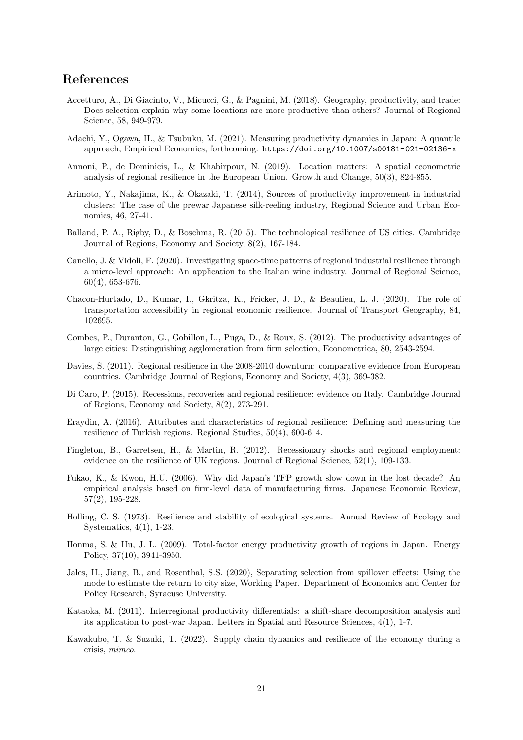## **References**

- Accetturo, A., Di Giacinto, V., Micucci, G., & Pagnini, M. (2018). Geography, productivity, and trade: Does selection explain why some locations are more productive than others? Journal of Regional Science, 58, 949-979.
- Adachi, Y., Ogawa, H., & Tsubuku, M. (2021). Measuring productivity dynamics in Japan: A quantile approach, Empirical Economics, forthcoming. https://doi.org/10.1007/s00181-021-02136-x
- Annoni, P., de Dominicis, L., & Khabirpour, N. (2019). Location matters: A spatial econometric analysis of regional resilience in the European Union. Growth and Change, 50(3), 824-855.
- Arimoto, Y., Nakajima, K., & Okazaki, T. (2014), Sources of productivity improvement in industrial clusters: The case of the prewar Japanese silk-reeling industry, Regional Science and Urban Economics, 46, 27-41.
- Balland, P. A., Rigby, D., & Boschma, R. (2015). The technological resilience of US cities. Cambridge Journal of Regions, Economy and Society, 8(2), 167-184.
- Canello, J. & Vidoli, F. (2020). Investigating space-time patterns of regional industrial resilience through a micro-level approach: An application to the Italian wine industry. Journal of Regional Science, 60(4), 653-676.
- Chacon-Hurtado, D., Kumar, I., Gkritza, K., Fricker, J. D., & Beaulieu, L. J. (2020). The role of transportation accessibility in regional economic resilience. Journal of Transport Geography, 84, 102695.
- Combes, P., Duranton, G., Gobillon, L., Puga, D., & Roux, S. (2012). The productivity advantages of large cities: Distinguishing agglomeration from firm selection, Econometrica, 80, 2543-2594.
- Davies, S. (2011). Regional resilience in the 2008-2010 downturn: comparative evidence from European countries. Cambridge Journal of Regions, Economy and Society, 4(3), 369-382.
- Di Caro, P. (2015). Recessions, recoveries and regional resilience: evidence on Italy. Cambridge Journal of Regions, Economy and Society, 8(2), 273-291.
- Eraydin, A. (2016). Attributes and characteristics of regional resilience: Defining and measuring the resilience of Turkish regions. Regional Studies, 50(4), 600-614.
- Fingleton, B., Garretsen, H., & Martin, R. (2012). Recessionary shocks and regional employment: evidence on the resilience of UK regions. Journal of Regional Science, 52(1), 109-133.
- Fukao, K., & Kwon, H.U. (2006). Why did Japan's TFP growth slow down in the lost decade? An empirical analysis based on firm-level data of manufacturing firms. Japanese Economic Review, 57(2), 195-228.
- Holling, C. S. (1973). Resilience and stability of ecological systems. Annual Review of Ecology and Systematics, 4(1), 1-23.
- Honma, S. & Hu, J. L. (2009). Total-factor energy productivity growth of regions in Japan. Energy Policy, 37(10), 3941-3950.
- Jales, H., Jiang, B., and Rosenthal, S.S. (2020), Separating selection from spillover effects: Using the mode to estimate the return to city size, Working Paper. Department of Economics and Center for Policy Research, Syracuse University.
- Kataoka, M. (2011). Interregional productivity differentials: a shift-share decomposition analysis and its application to post-war Japan. Letters in Spatial and Resource Sciences, 4(1), 1-7.
- Kawakubo, T. & Suzuki, T. (2022). Supply chain dynamics and resilience of the economy during a crisis, *mimeo*.